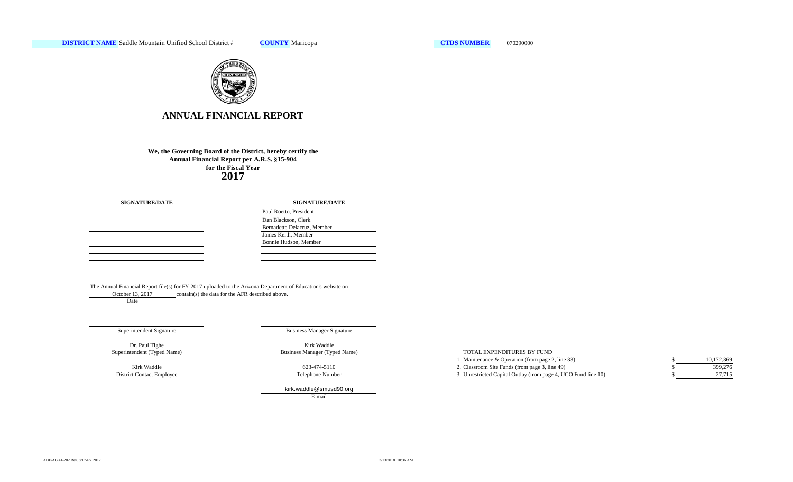

# **ANNUAL FINANCIAL REPORT**

**2017 We, the Governing Board of the District, hereby certify the Annual Financial Report per A.R.S. §15-904 for the Fiscal Year**

|  |  | <b>SIGNATURE/DATE</b> |  |  |  |
|--|--|-----------------------|--|--|--|
|--|--|-----------------------|--|--|--|

### **SIGNATURE/DATE**

| Paul Roetto, President      |
|-----------------------------|
| Dan Blackson, Clerk         |
| Bernadette Delacruz, Member |
| James Keith, Member         |
| Bonnie Hudson, Member       |
|                             |

The Annual Financial Report file(s) for FY 2017 uploaded to the Arizona Department of Education's website on contain(s) the data for the AFR described above. October 13, 2017

Date

### Superintendent Signature

Business Manager Signature

Superintendent (Typed Name) Dr. Paul Tighe Kirk Waddle

Kirk Waddle

District Contact Employee

Business Manager (Typed Name) 623-474-5110

Telephone Number

E-mail [kirk.waddle@smusd90.org](mailto:kirk.waddle@smusd90.org#)

### TOTAL EXPENDITURES BY FUND

| 1. Maintenance & Operation (from page 2, line 33)              |  |
|----------------------------------------------------------------|--|
| 2. Classroom Site Funds (from page 3, line 49)                 |  |
| 3. Unrestricted Capital Outlay (from page 4, UCO Fund line 10) |  |

| S | 10,172,369 |
|---|------------|
| S | 399,276    |
| S | 27.715     |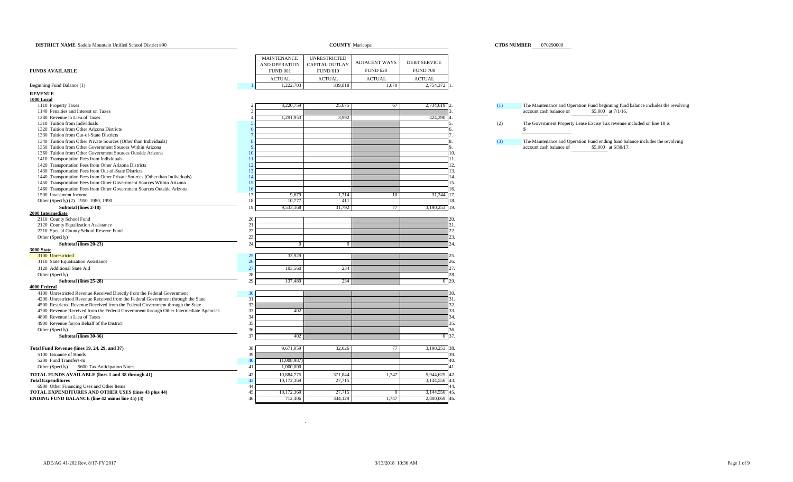| <b>DISTRICT NAME</b> Saddle Mountain Unified School District #90                      |                    | <b>COUNTY Maricopa</b> |                      |                     | <b>CTDS NUMBER</b> 070290000                                                                   |
|---------------------------------------------------------------------------------------|--------------------|------------------------|----------------------|---------------------|------------------------------------------------------------------------------------------------|
|                                                                                       |                    |                        |                      |                     |                                                                                                |
|                                                                                       | <b>MAINTENANCE</b> | <b>UNRESTRICTED</b>    | <b>ADJACENT WAYS</b> | <b>DEBT SERVICE</b> |                                                                                                |
|                                                                                       | AND OPERATION      | CAPITAL OUTLAY         |                      |                     |                                                                                                |
| <b>FUNDS AVAILABLE</b>                                                                | <b>FUND 001</b>    | <b>FUND 610</b>        | <b>FUND 620</b>      | <b>FUND 700</b>     |                                                                                                |
|                                                                                       | <b>ACTUAL</b>      | <b>ACTUAL</b>          | <b>ACTUAL</b>        | <b>ACTUAL</b>       |                                                                                                |
| Beginning Fund Balance (1)                                                            | 1,222,703          | 339,818                | 1,670                | 2,754,372           |                                                                                                |
| <b>REVENUE</b>                                                                        |                    |                        |                      |                     |                                                                                                |
| 1000 Local                                                                            |                    |                        |                      |                     |                                                                                                |
| 1110 Property Taxes                                                                   | 8,220,759          | 25,675                 | 67                   | 2,734,619           | (1)<br>The Maintenance and Operation Fund beginning fund balance includes the revolving        |
| 1140 Penalties and Interest on Taxes                                                  |                    |                        |                      |                     | account cash balance of<br>\$5,000 at 7/1/16.                                                  |
| 1280 Revenue in Lieu of Taxes<br>1310 Tuition from Individuals                        | 1,291,953          | 3,992                  |                      | 424,390             |                                                                                                |
| 1320 Tuition from Other Arizona Districts                                             |                    |                        |                      |                     | The Government Property Lease Excise Tax revenue included on line 18 is<br>(2)<br>$\mathbb{S}$ |
| 1330 Tuition from Out-of-State Districts                                              |                    |                        |                      |                     |                                                                                                |
| 1340 Tuition from Other Private Sources (Other than Individuals)                      |                    |                        |                      |                     | (3)<br>The Maintenance and Operation Fund ending fund balance includes the revolving           |
| 1350 Tuition from Other Government Sources Within Arizona                             |                    |                        |                      |                     | account cash balance of<br>\$5,000 at 6/30/17.                                                 |
| 1360 Tuition from Other Government Sources Outside Arizona                            |                    |                        |                      |                     | 10.                                                                                            |
| 1410 Transportation Fees from Individuals                                             |                    |                        |                      |                     | 11.                                                                                            |
| 1420 Transportation Fees from Other Arizona Districts                                 | 12                 |                        |                      |                     | 12.                                                                                            |
| 1430 Transportation Fees from Out-of-State Districts                                  | 13.                |                        |                      |                     | 13.                                                                                            |
| 1440 Transportation Fees from Other Private Sources (Other than Individuals)          | 14                 |                        |                      |                     | 14.                                                                                            |
| 1450 Transportation Fees from Other Government Sources Within Arizona                 | 15.                |                        |                      |                     | 15.                                                                                            |
| 1460 Transportation Fees from Other Government Sources Outside Arizona                |                    |                        |                      |                     | 16.                                                                                            |
| 1500 Investment Income                                                                | 9,679<br>17.       | 1,714                  | 10                   | 31,244              | 17.                                                                                            |
| Other (Specify) (2) 1950, 1980, 1990                                                  | 10,777<br>18.      | 411                    |                      |                     | 18.                                                                                            |
| Subtotal (lines 2-18)                                                                 | 19<br>9,533,168    | 31,792                 |                      | 3,190,253 19.       |                                                                                                |
| 2000 Intermediate<br>2110 County School Fund                                          | 20.                |                        |                      |                     | 20.                                                                                            |
| 2120 County Equalization Assistance                                                   | 21                 |                        |                      |                     | 21.                                                                                            |
| 2210 Special County School Reserve Fund                                               | 22.                |                        |                      |                     | 22.                                                                                            |
| Other (Specify)                                                                       | 23.                |                        |                      |                     | 23.                                                                                            |
| Subtotal (lines 20-23)                                                                | 24                 | $\Omega$               |                      |                     | $\frac{1}{2}$                                                                                  |
| 3000 State                                                                            |                    |                        |                      |                     |                                                                                                |
| 3100 Unrestricted                                                                     | 33,929<br>25.      |                        |                      |                     |                                                                                                |
| 3110 State Equalization Assistance                                                    | 26                 |                        |                      |                     | 26.                                                                                            |
| 3120 Additional State Aid                                                             | 27.<br>103,560     | 234                    |                      |                     | 27.                                                                                            |
| Other (Specify)                                                                       | 28.                |                        |                      |                     | 28.                                                                                            |
| Subtotal (lines 25-28)                                                                | 29.<br>137,489     | 234                    |                      | $\Omega$            | 29.                                                                                            |
| 4000 Federal                                                                          |                    |                        |                      |                     |                                                                                                |
| 4100 Unrestricted Revenue Received Directly from the Federal Government               | $30^{\circ}$       |                        |                      |                     | 30.                                                                                            |
| 4200 Unrestricted Revenue Received from the Federal Government through the State      | 31.                |                        |                      |                     | 31.                                                                                            |
| 4500 Restricted Revenue Received from the Federal Government through the State        | 32                 |                        |                      |                     | 32.                                                                                            |
| 4700 Revenue Received from the Federal Government through Other Intermediate Agencies | 33.<br>402         |                        |                      |                     | 33.                                                                                            |
| 4800 Revenue in Lieu of Taxes<br>4900 Revenue for/on Behalf of the District           | 34<br>35.          |                        |                      |                     | 34.<br>35.                                                                                     |
|                                                                                       | 36.                |                        |                      |                     | 36.                                                                                            |
| Other (Specify)<br>Subtotal (lines 30-36)                                             | 37<br>402          |                        |                      | 0 37.               |                                                                                                |
|                                                                                       |                    |                        |                      |                     |                                                                                                |
| Total Fund Revenue (lines 19, 24, 29, and 37)                                         | 9,671,059<br>38.   | 32,026                 | 77                   | 3,190,253 38.       |                                                                                                |
| 5100 Issuance of Bonds                                                                | 39.                |                        |                      |                     | 39.                                                                                            |
| 5200 Fund Transfers-In                                                                | (1,008,987)<br>40  |                        |                      |                     | 40.                                                                                            |
| Other (Specify)<br>5600 Tax Anticipation Notes                                        | 1,000,000<br>41    |                        |                      |                     | 41.                                                                                            |
| TOTAL FUNDS AVAILABLE (lines 1 and 38 through 41)                                     | 10,884,775<br>42   | 371,844                | 1,747                | 5,944,625           | 42.                                                                                            |
| <b>Total Expenditures</b>                                                             | 43.<br>10,172,369  | 27,715                 |                      | 3,144,556           | 43.                                                                                            |
| 6900 Other Financing Uses and Other Items                                             | 44                 |                        |                      |                     | 14                                                                                             |
| TOTAL EXPENDITURES AND OTHER USES (lines 43 plus 44)                                  | 10,172,369<br>45   | 27,715                 | $\mathbf{0}$         | 3,144,556           | 45.                                                                                            |
| <b>ENDING FUND BALANCE</b> (line 42 minus line 45) (3)                                | 712,406<br>46      | 344,129                | 1,747                | 2,800,069 46.       |                                                                                                |
|                                                                                       |                    |                        |                      |                     |                                                                                                |

.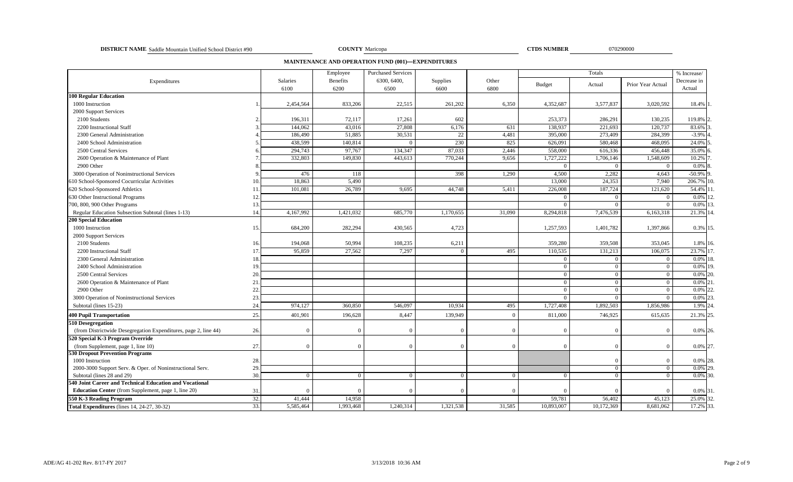### **DISTRICT NAME COUNTY CTDS NUMBER** Saddle Mountain Unified School District #90 070290000

COUNTY Maricopa

**MAINTENANCE AND OPERATION FUND (001)—EXPENDITURES**

|                                                                 | Employee<br><b>Purchased Services</b> |                  |                  |                     |                  |               | % Increase/    |                |                   |                       |
|-----------------------------------------------------------------|---------------------------------------|------------------|------------------|---------------------|------------------|---------------|----------------|----------------|-------------------|-----------------------|
| Expenditures                                                    |                                       | Salaries<br>6100 | Benefits<br>6200 | 6300, 6400,<br>6500 | Supplies<br>6600 | Other<br>6800 | <b>Budget</b>  | Actual         | Prior Year Actual | Decrease in<br>Actual |
| <b>100 Regular Education</b>                                    |                                       |                  |                  |                     |                  |               |                |                |                   |                       |
| 1000 Instruction                                                |                                       | 2,454,564        | 833,206          | 22,515              | 261,202          | 6,350         | 4,352,687      | 3,577,837      | 3,020,592         | 18.4%                 |
| 2000 Support Services                                           |                                       |                  |                  |                     |                  |               |                |                |                   |                       |
| 2100 Students                                                   |                                       | 196,311          | 72,117           | 17,261              | 602              |               | 253,373        | 286,291        | 130,235           | 119.8%                |
| 2200 Instructional Staff                                        |                                       | 144,062          | 43,016           | 27,808              | 6,176            | 631           | 138,937        | 221,693        | 120,737           | 83.6%                 |
| 2300 General Administration                                     |                                       | 186,490          | 51,885           | 30,531              | 22               | 4,481         | 395,000        | 273,409        | 284,399           | $-3.9%$               |
| 2400 School Administration                                      |                                       | 438.599          | 140,814          | $\Omega$            | 230              | 825           | 626,091        | 580,468        | 468.095           | 24.0%                 |
| 2500 Central Services                                           |                                       | 294,743          | 97,767           | 134,347             | 87,033           | 2,446         | 558,000        | 616,336        | 456,448           | 35.0%                 |
| 2600 Operation & Maintenance of Plant                           |                                       | 332,803          | 149,830          | 443,613             | 770,244          | 9,656         | 1,727,222      | 1,706,146      | 1,548,609         | 10.2%                 |
| 2900 Other                                                      |                                       |                  |                  |                     |                  |               | $\Omega$       | $\Omega$       | $\Omega$          | 0.0%                  |
| 3000 Operation of Noninstructional Services                     |                                       | 476              | 118              |                     | 398              | 1,290         | 4,500          | 2,282          | 4,643             | $-50.9\%$ 9           |
| 610 School-Sponsored Cocurricular Activities                    | 10.                                   | 18,863           | 5,490            |                     |                  |               | 13,000         | 24,353         | 7,940             | 206.7% 10             |
| 620 School-Sponsored Athletics                                  | 11                                    | 101.081          | 26,789           | 9.695               | 44,748           | 5,411         | 226,008        | 187,724        | 121,620           | 54.4% 1               |
| 630 Other Instructional Programs                                | 12                                    |                  |                  |                     |                  |               | $\Omega$       | $\Omega$       |                   | 0.0%                  |
| 700, 800, 900 Other Programs                                    | 13.                                   |                  |                  |                     |                  |               | $\Omega$       | $\overline{0}$ | $\Omega$          | 0.0% 13               |
| Regular Education Subsection Subtotal (lines 1-13)              | 14                                    | 4,167,992        | 1,421,032        | 685,770             | 1,170,655        | 31,090        | 8,294,818      | 7,476,539      | 6,163,318         | 21.3% 14              |
| <b>200 Special Education</b>                                    |                                       |                  |                  |                     |                  |               |                |                |                   |                       |
| 1000 Instruction                                                | 15.                                   | 684,200          | 282,294          | 430,565             | 4,723            |               | 1,257,593      | 1,401,782      | 1,397,866         | 0.3% 15.              |
| 2000 Support Services                                           |                                       |                  |                  |                     |                  |               |                |                |                   |                       |
| 2100 Students                                                   | 16.                                   | 194,068          | 50,994           | 108,235             | 6,211            |               | 359,280        | 359,508        | 353,045           | 1.8% 16.              |
| 2200 Instructional Staff                                        | 17                                    | 95,859           | 27,562           | 7,297               | $\Omega$         | 495           | 110,535        | 131,213        | 106,075           | 23.7% 17              |
| 2300 General Administration                                     | 18                                    |                  |                  |                     |                  |               | $\Omega$       | $\Omega$       | $\Omega$          | $0.0\%$ 1             |
| 2400 School Administration                                      | 19                                    |                  |                  |                     |                  |               | $\Omega$       | $\Omega$       | $\Omega$          | 0.0% 19               |
| 2500 Central Services                                           | 20                                    |                  |                  |                     |                  |               | $\Omega$       | $\overline{0}$ | $\Omega$          | $0.0\%$ 20.           |
| 2600 Operation & Maintenance of Plant                           | 21                                    |                  |                  |                     |                  |               | $\overline{0}$ | $\overline{0}$ | $\Omega$          | $0.0\%$ 21            |
| 2900 Other                                                      | 22                                    |                  |                  |                     |                  |               | $\Omega$       | $\overline{0}$ | $\Omega$          | 0.0%                  |
| 3000 Operation of Noninstructional Services                     | 23                                    |                  |                  |                     |                  |               | $\Omega$       | $\Omega$       |                   | 0.0%                  |
| Subtotal (lines 15-23)                                          | 24                                    | 974,127          | 360,850          | 546,097             | 10,934           | 495           | 1,727,408      | 1,892,503      | 1,856,986         | 1.9% 24               |
| <b>400 Pupil Transportation</b>                                 | 25.                                   | 401,901          | 196,628          | 8,447               | 139,949          | $\Omega$      | 811,000        | 746,925        | 615,635           | 21.3% 25              |
| 510 Desegregation                                               |                                       |                  |                  |                     |                  |               |                |                |                   |                       |
| (from Districtwide Desegregation Expenditures, page 2, line 44) | 26.                                   |                  | $\Omega$         | $\Omega$            | $\Omega$         | $\Omega$      | $\Omega$       | $\Omega$       | $\Omega$          | 0.0% 26.              |
| 520 Special K-3 Program Override                                |                                       |                  |                  |                     |                  |               |                |                |                   |                       |
| (from Supplement, page 1, line 10)                              | 27.                                   |                  | $\Omega$         | $\Omega$            | $\Omega$         | $\Omega$      | $\Omega$       | $\Omega$       | $\Omega$          | 0.0% 27.              |
| 530 Dropout Prevention Programs                                 |                                       |                  |                  |                     |                  |               |                |                |                   |                       |
| 1000 Instruction                                                | 28.                                   |                  |                  |                     |                  |               |                | $\Omega$       |                   | 0.0% 28.              |
| 2000-3000 Support Serv. & Oper. of Noninstructional Serv.       | 29                                    |                  |                  |                     |                  |               |                | $\overline{0}$ | $\Omega$          | $0.0\%$ 29.           |
| Subtotal (lines 28 and 29)                                      | 30.                                   |                  | $\Omega$         | $\Omega$            |                  | $\Omega$      | $\Omega$       | $\overline{0}$ |                   | 0.0% 30.              |
| 540 Joint Career and Technical Education and Vocational         |                                       |                  |                  |                     |                  |               |                |                |                   |                       |
| <b>Education Center</b> (from Supplement, page 1, line 20)      | 31                                    |                  | ſ                | $\epsilon$          |                  | $\Omega$      | $\Omega$       | $\Omega$       |                   | 0.0% 31               |
| 550 K-3 Reading Program                                         | 32.                                   | 41,444           | 14,958           |                     |                  |               | 59,781         | 56,402         | 45,123            | 25.0% 32              |
| Total Expenditures (lines 14, 24-27, 30-32)                     | 33.                                   | 5,585,464        | 1,993,468        | 1,240,314           | 1,321,538        | 31,585        | 10,893,007     | 10,172,369     | 8,681,062         | 17.2% 33.             |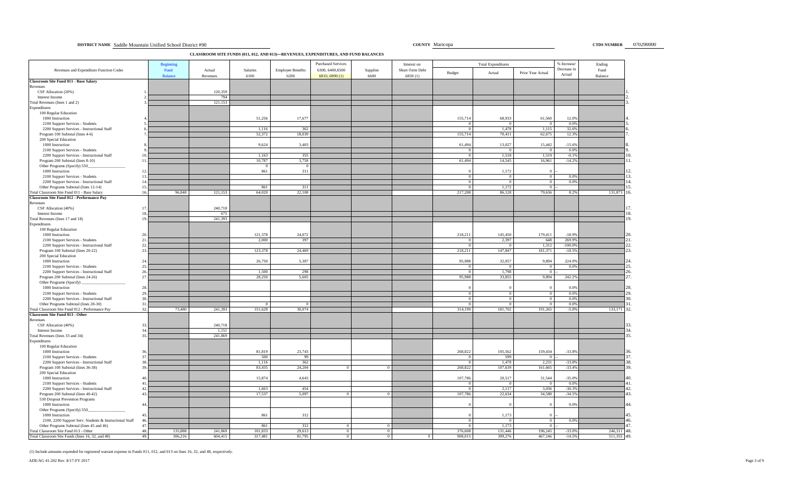**DISTRICT NAME Saddle Mountain Unified School District #90** Maricopa **District #90** COUNTY Maricopa **District #90** COUNTY Maricopa **District #90** COUNTY Maricopa **DISTRICT NAME SCHOOL DISTRICT NAME OT 0290000** 

**CLASSROOM SITE FUNDS (011, 012, AND 013)—REVENUES, EXPENDITURES, AND FUND BALANCES**

|                                                                                 | <b>Beginning</b> |          |          |                          | <b>Purchased Services</b> |          | Interest on     |                       | <b>Total Expenditures</b> |                      | % Increase/           | Ending         |
|---------------------------------------------------------------------------------|------------------|----------|----------|--------------------------|---------------------------|----------|-----------------|-----------------------|---------------------------|----------------------|-----------------------|----------------|
| Revenues and Expenditure Function Codes                                         | Fund             | Actual   | Salaries | <b>Employee Benefits</b> | 6300, 6400, 6500          | Supplies | Short-Term Debt | Budget                | Actual                    | Prior Year Actual    | Decrease in<br>Actual | Fund           |
| <b>Classroom Site Fund 011 - Base Salary</b>                                    | Balance          | Revenues | 6100     | 6200                     | 6810, 6890(1)             | 6600     | 6850(1)         |                       |                           |                      |                       | Balance        |
| Revenues                                                                        |                  |          |          |                          |                           |          |                 |                       |                           |                      |                       |                |
| CSF Allocation (20%)                                                            |                  | 120,359  |          |                          |                           |          |                 |                       |                           |                      |                       |                |
| Interest Income                                                                 |                  | 794      |          |                          |                           |          |                 |                       |                           |                      |                       |                |
| Total Revenues (lines 1 and 2)                                                  |                  | 121,153  |          |                          |                           |          |                 |                       |                           |                      |                       |                |
| Expenditures                                                                    |                  |          |          |                          |                           |          |                 |                       |                           |                      |                       |                |
| 100 Regular Education                                                           |                  |          |          |                          |                           |          |                 |                       |                           |                      |                       |                |
| 1000 Instruction<br>2100 Support Services - Students                            |                  |          | 51,256   | 17,677                   |                           |          |                 | 155,714<br>$^{\circ}$ | 68,933                    | 61,560<br>$\Omega$   | 12.0%<br>0.0%         |                |
| 2200 Support Services - Instructional Staff                                     |                  |          | 1,116    | 362                      |                           |          |                 | $\overline{0}$        | 1,478                     | 1,115                | 32.69                 |                |
| Program 100 Subtotal (lines 4-6)                                                |                  |          | 52,372   | 18,039                   |                           |          |                 | 155,714               | 70,411                    | 62,675               | 12.39                 |                |
| 200 Special Education                                                           |                  |          |          |                          |                           |          |                 |                       |                           |                      |                       |                |
| 1000 Instruction                                                                |                  |          | 9,624    | 3,403                    |                           |          |                 | 61,494                | 13,027                    | 15,442               | $-15.69$              |                |
| 2100 Support Services - Students                                                |                  |          |          |                          |                           |          |                 | $\overline{0}$        | $\Omega$                  | $\overline{0}$       | 0.0%                  |                |
| 2200 Support Services - Instructional Staff                                     | $\overline{10}$  |          | 1,163    | 355                      |                           |          |                 | $\Omega$              | 1,518                     | 1,519                | $-0.19$               |                |
| Program 200 Subtotal (lines 8-10)                                               | $\overline{1}$   |          | 10,787   | 3,758                    |                           |          |                 | 61,494                | 14,545                    | 16,961               | $-14.29$              |                |
| Other Programs (Specify) 550                                                    |                  |          |          |                          |                           |          |                 |                       |                           |                      |                       |                |
| 1000 Instruction<br>2100 Support Services - Students                            | 12<br>13         |          | 861      | 311                      |                           |          |                 |                       | 1,172                     | $\theta$             | 0.0%                  |                |
| 2200 Support Services - Instructional Staff                                     | 14               |          |          |                          |                           |          |                 | $\Omega$              | $\theta$                  | $\overline{0}$       | 0.0%                  |                |
| Other Programs Subtotal (lines 12-14)                                           | 15               |          | 861      | 311                      |                           |          |                 |                       | 1,172                     | $\Omega$             |                       |                |
| Total Classroom Site Fund 011 - Base Salary                                     | 16<br>96,848     | 121,153  | 64,020   | 22,108                   |                           |          |                 | 217,208               | 86,128                    | 79,636               | 8.2%                  | 131,873        |
| Classroom Site Fund 012 - Performance Pay                                       |                  |          |          |                          |                           |          |                 |                       |                           |                      |                       |                |
| Revenues                                                                        |                  |          |          |                          |                           |          |                 |                       |                           |                      |                       |                |
| CSF Allocation (40%)                                                            | 17               | 240,718  |          |                          |                           |          |                 |                       |                           |                      |                       |                |
| Interest Income                                                                 | 18               | 675      |          |                          |                           |          |                 |                       |                           |                      |                       |                |
| Total Revenues (lines 17 and 18)                                                | 19               | 241,393  |          |                          |                           |          |                 |                       |                           |                      |                       |                |
| Expenditures                                                                    |                  |          |          |                          |                           |          |                 |                       |                           |                      |                       |                |
| 100 Regular Education<br>1000 Instruction                                       | 20               |          | 121,378  | 24,072                   |                           |          |                 | 218,211               | 145,450                   | 179,411              | $-18.99$              |                |
| 2100 Support Services - Students                                                | 21               |          | 2,000    | 397                      |                           |          |                 |                       | 2,397                     | 648                  | 269.99                |                |
| 2200 Support Services - Instructional Staff                                     | 22               |          |          |                          |                           |          |                 |                       |                           | 1,312                | $-100.09$             |                |
| Program 100 Subtotal (lines 20-22)                                              | 23.              |          | 123,378  | 24,469                   |                           |          |                 | 218,211               | 147,847                   | 181,371              | $-18.59$              |                |
| 200 Special Education                                                           |                  |          |          |                          |                           |          |                 |                       |                           |                      |                       |                |
| 1000 Instruction                                                                | 24               |          | 26,750   | 5,307                    |                           |          |                 | 95,988                | 32,057                    | 9,894                | 224.09                |                |
| 2100 Support Services - Students                                                | 25               |          |          |                          |                           |          |                 | $\Omega$              | $\Omega$                  | $\overline{0}$       | 0.0%                  |                |
| 2200 Support Services - Instructional Staff                                     | 26               |          | 1,500    | 298                      |                           |          |                 | $\Omega$              | 1,798                     | $\Omega$             |                       |                |
| Program 200 Subtotal (lines 24-26)                                              | 27               |          | 28,250   | 5,605                    |                           |          |                 | 95,988                | 33,855                    | 9,894                | 242.29                |                |
| Other Programs (Specify)                                                        |                  |          |          |                          |                           |          |                 |                       |                           |                      | 0.0%                  |                |
| 1000 Instruction                                                                | 28               |          |          |                          |                           |          |                 | $\Omega$              | $\Omega$                  | $\Omega$             |                       |                |
| 2100 Support Services - Students<br>2200 Support Services - Instructional Staff | 29<br>30         |          |          |                          |                           |          |                 |                       | -0                        | $\bf{0}$<br>$\Omega$ | 0.0%<br>0.0%          |                |
| Other Programs Subtotal (lines 28-30)                                           | 31               |          |          |                          |                           |          |                 |                       |                           | $^{\circ}$           | 0.0%                  |                |
| Total Classroom Site Fund 012 - Performance Pay                                 | 32<br>73,480     | 241,393  | 151,628  | 30,074                   |                           |          |                 | 314,199               | 181,702                   | 191,265              | $-5.0%$               | 133,171        |
| <b>Classroom Site Fund 013 - Other</b>                                          |                  |          |          |                          |                           |          |                 |                       |                           |                      |                       |                |
| Revenues                                                                        |                  |          |          |                          |                           |          |                 |                       |                           |                      |                       |                |
| CSF Allocation (40%)                                                            | 33               | 240,718  |          |                          |                           |          |                 |                       |                           |                      |                       |                |
| Interest Income                                                                 | 34               | 1,151    |          |                          |                           |          |                 |                       |                           |                      |                       |                |
| Total Revenues (lines 33 and 34)                                                | 35               | 241.869  |          |                          |                           |          |                 |                       |                           |                      |                       |                |
| Expenditures<br>100 Regular Education                                           |                  |          |          |                          |                           |          |                 |                       |                           |                      |                       |                |
| 1000 Instruction                                                                | 36               |          | 81,819   | 23,743                   |                           |          |                 | 268,822               | 105,562                   | 159,434              | $-33.8%$              |                |
| 2100 Support Services - Students                                                | 37               |          | 500      | 99                       |                           |          |                 |                       | 599                       | 0                    |                       |                |
| 2200 Support Services - Instructional Staff                                     | 38               |          | 1,116    | 362                      |                           |          |                 |                       | 1,478                     | 2,231                | $-33.89$              |                |
| Program 100 Subtotal (lines 36-38)                                              | 39               |          | 83,435   | 24,204                   |                           |          |                 | 268,822               | 107,639                   | 161,665              | $-33.4%$              |                |
| 200 Special Education                                                           |                  |          |          |                          |                           |          |                 |                       |                           |                      |                       |                |
| 1000 Instruction                                                                | 40               |          | 15,874   | 4,643                    |                           |          |                 | 107,786               | 20,517                    | 31,544               | $-35.0%$              |                |
| 2100 Support Services - Students                                                | 41               |          |          |                          |                           |          |                 | $\Omega$              | $\Omega$                  | $\Omega$             | 0.0%                  |                |
| 2200 Support Services - Instructional Staff                                     | 42               |          | 1.663    | 454                      |                           |          |                 | $\Omega$              | 2,117                     | 3,036                | $-30.3%$              |                |
| Program 200 Subtotal (lines 40-42)                                              | 43               |          | 17,537   | 5,097                    |                           |          |                 | 107,786               | 22,634                    | 34,580               | $-34.59$              |                |
| 530 Dropout Prevention Programs                                                 | 44               |          |          |                          |                           |          |                 |                       |                           | $^{\circ}$           | 0.0%                  |                |
| 1000 Instruction<br>Other Programs (Specify) 550_                               |                  |          |          |                          |                           |          |                 |                       |                           |                      |                       |                |
| 1000 Instruction                                                                | 45               |          | 861      | 312                      |                           |          |                 |                       | 1,173                     |                      |                       |                |
| 2100, 2200 Support Serv. Students & Instructional Staff                         | 46               |          |          |                          |                           |          |                 | $\Omega$              | $^{\circ}$                | $\Omega$             | 0.0%                  |                |
| Other Programs Subtotal (lines 45 and 46)                                       | 47               |          | 861      | 312                      |                           |          |                 |                       | 1,173                     | $\Omega$             |                       |                |
| Total Classroom Site Fund 013 - Other                                           | 48<br>135,888    | 241,869  | 101,833  | 29,613                   | $\theta$                  |          |                 | 376,608               | 131,446                   | 196,245              | $-33.0%$              | 246,311        |
| Total Classroom Site Funds (lines 16, 32, and 48)                               | 49.<br>306,216   | 604,415  | 317,481  | 81,795                   |                           |          |                 | 908,015               | 399,276                   | 467,146              | $-14.5%$              | 511,355<br>49. |

(1) Include amounts expended for registered warrant expense in Funds 011, 012, and 013 on lines 16, 32, and 48, respectively.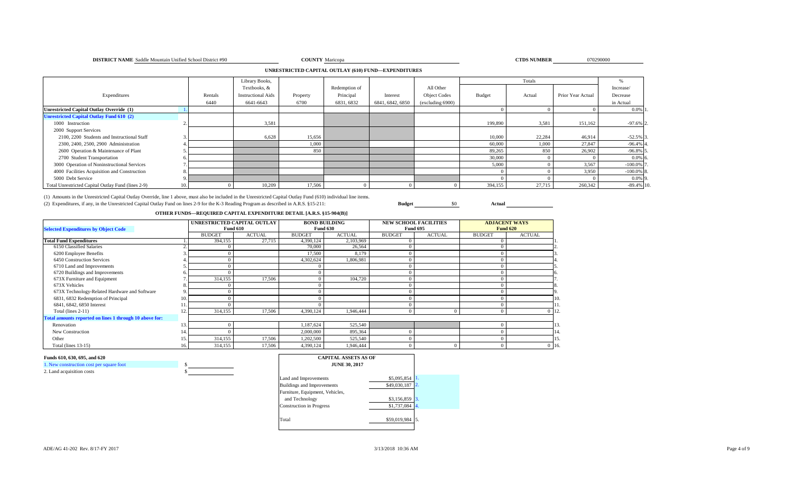### **DISTRICT NAME** Saddle Mountain Unified School District #90 **COUNTY** Maricopa **COUNTY** Maricopa **COUNTY** Maricopa

CTDS NUMBER 070290000

### **UNRESTRICTED CAPITAL OUTLAY (610) FUND—EXPENDITURES**

|                                                    |         | Library Books,            |          |               |                  |                     |         | Totals |                   | ₩n            |
|----------------------------------------------------|---------|---------------------------|----------|---------------|------------------|---------------------|---------|--------|-------------------|---------------|
|                                                    |         | Textbooks, &              |          | Redemption of |                  | All Other           |         |        |                   | Increase/     |
| Expenditures                                       | Rentals | <b>Instructional Aids</b> | Property | Principal     | Interest         | <b>Object Codes</b> | Budget  | Actual | Prior Year Actual | Decrease      |
|                                                    | 6440    | 6641-6643                 | 6700     | 6831, 6832    | 6841, 6842, 6850 | (excluding 6900)    |         |        |                   | in Actual     |
| Unrestricted Capital Outlay Override (1)           |         |                           |          |               |                  |                     |         |        |                   | $0.0\%$ 1.    |
| <b>Unrestricted Capital Outlay Fund 610 (2)</b>    |         |                           |          |               |                  |                     |         |        |                   |               |
| 1000 Instruction                                   |         | 3,581                     |          |               |                  |                     | 199,890 | 3,581  | 151,162           | $-97.6\%$ 2.  |
| 2000 Support Services                              |         |                           |          |               |                  |                     |         |        |                   |               |
| 2100, 2200 Students and Instructional Staff        |         | 6,628                     | 15,656   |               |                  |                     | 10,000  | 22,284 | 46,914            | $-52.5%$ 3    |
| 2300, 2400, 2500, 2900 Administration              |         |                           | 1,000    |               |                  |                     | 60,000  | 1,000  | 27,847            | $-96.4\%$ 4   |
| 2600 Operation & Maintenance of Plant              |         |                           | 850      |               |                  |                     | 89,265  | 850    | 26,902            | $-96.8\%$ 5   |
| 2700 Student Transportation                        |         |                           |          |               |                  |                     | 30,000  |        |                   | $0.0%$ 6      |
| 3000 Operation of Noninstructional Services        |         |                           |          |               |                  |                     | 5,000   |        | 3,567             | $-100.0\%$    |
| 4000 Facilities Acquisition and Construction       |         |                           |          |               |                  |                     |         |        | 3,950             | $-100.0\%$ 8. |
| 5000 Debt Service                                  |         |                           |          |               |                  |                     |         |        |                   | $0.0\%$ 9.    |
| Total Unrestricted Capital Outlay Fund (lines 2-9) |         | 10,209                    | 17,506   |               |                  |                     | 394,155 | 27,715 | 260,342           | $-89.4\%$ 10. |

(1) Amounts in the Unrestricted Capital Outlay Override, line 1 above, must also be included in the Unrestricted Capital Outlay Fund (610) individual line items. (2) Expenditures, if any, in the Unrestricted Capital Outlay Fund on lines 2-9 for the K-3 Reading Program as described in A.R.S. §15-211: **Budget** \$0 **Actual**

## **OTHER FUNDS—REQUIRED CAPITAL EXPENDITURE DETAIL [A.R.S. §15-904(B)]**

|                                                         |     | UNRESTRICTED CAPITAL OUTLAY |               |               | <b>BOND BUILDING</b> |               | <b>NEW SCHOOL FACILITIES</b> |                 | <b>ADJACENT WAYS</b> |         |
|---------------------------------------------------------|-----|-----------------------------|---------------|---------------|----------------------|---------------|------------------------------|-----------------|----------------------|---------|
| <b>Selected Expenditures by Object Code</b>             |     | <b>Fund 610</b>             |               |               | <b>Fund 630</b>      |               | <b>Fund 695</b>              | <b>Fund 620</b> |                      |         |
|                                                         |     | <b>BUDGET</b>               | <b>ACTUAL</b> | <b>BUDGET</b> | <b>ACTUAL</b>        | <b>BUDGET</b> | <b>ACTUAL</b>                | <b>BUDGET</b>   | <b>ACTUAL</b>        |         |
| <b>Total Fund Expenditures</b>                          |     | 394,155                     | 27,715        | 4,390,124     | 2,103,969            |               |                              |                 |                      |         |
| 6150 Classified Salaries                                |     |                             |               | 70,000        | 26,564               |               |                              |                 |                      |         |
| 6200 Employee Benefits                                  |     |                             |               | 17,500        | 8,179                |               |                              |                 |                      |         |
| 6450 Construction Services                              |     |                             |               | 4,302,624     | 1,806,981            |               |                              |                 |                      |         |
| 6710 Land and Improvements                              |     |                             |               |               |                      |               |                              |                 |                      |         |
| 6720 Buildings and Improvements                         |     |                             |               |               |                      |               |                              |                 |                      |         |
| 673X Furniture and Equipment                            |     | 314,155                     | 17,506        |               | 104,720              |               |                              |                 |                      |         |
| 673X Vehicles                                           |     |                             |               |               |                      |               |                              |                 |                      |         |
| 673X Technology-Related Hardware and Software           |     |                             |               |               |                      |               |                              |                 |                      |         |
| 6831, 6832 Redemption of Principal                      | 10. |                             |               |               |                      |               |                              |                 |                      | 10.     |
| 6841, 6842, 6850 Interest                               |     |                             |               |               |                      |               |                              |                 |                      |         |
| Total (lines 2-11)                                      | 12. | 314,155                     | 17,506        | 4,390,124     | 1,946,444            |               |                              |                 |                      | $0$ 12. |
| Total amounts reported on lines 1 through 10 above for: |     |                             |               |               |                      |               |                              |                 |                      |         |
| Renovation                                              | 13. |                             |               | 1,187,624     | 525,540              |               |                              |                 |                      | 13      |
| New Construction                                        | 14  |                             |               | 2,000,000     | 895,364              |               |                              |                 |                      | 14.     |
| Other                                                   | 15. | 314,155                     | 17,506        | 1,202,500     | 525,540              |               |                              |                 |                      | 15.     |
| Total (lines $13-15$ )                                  | 16. | 314,155                     | 17,506        | 4,390,124     | 1,946,444            |               |                              |                 |                      | $0$ 16. |

### **Funds 610, 630, 695, and 620**

| 1. New construction cost per square foot |  |
|------------------------------------------|--|
| 2. Land acquisition costs                |  |

| <b>CAPITAL ASSETS AS OF</b><br><b>JUNE 30, 2017</b> |              |                  |
|-----------------------------------------------------|--------------|------------------|
| Land and Improvements                               | \$5,095,854  |                  |
| <b>Buildings and Improvements</b>                   | \$49,030,187 | $\overline{2}$ . |
| Furniture, Equipment, Vehicles,                     |              |                  |
| and Technology                                      | \$3,156,859  | 3.               |
| <b>Construction</b> in Progress                     | \$1,737,084  | 4.               |
| Total                                               | \$59,019,984 |                  |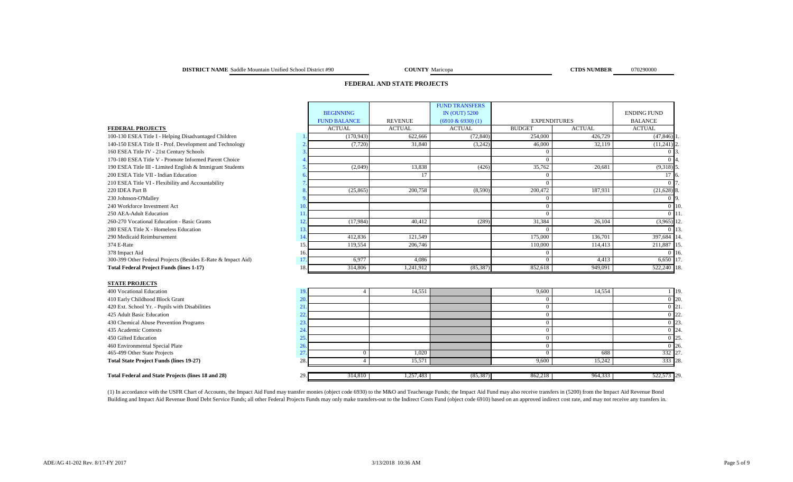### **DISTRICT NAME** Saddle Mountain Unified School District #90 **COUNTY** Maricopa **COUNTY** Maricopa **CTDS NUMBER** 070290000

**COUNTY** Maricopa

## **FEDERAL AND STATE PROJECTS**

|                                                              |     |                     |                | <b>FUND TRANSFERS</b> |               |                     |                    |         |
|--------------------------------------------------------------|-----|---------------------|----------------|-----------------------|---------------|---------------------|--------------------|---------|
|                                                              |     | <b>BEGINNING</b>    |                | <b>IN (OUT) 5200</b>  |               |                     | <b>ENDING FUND</b> |         |
|                                                              |     | <b>FUND BALANCE</b> | <b>REVENUE</b> | $(6910 \& 6930)$ (1)  |               | <b>EXPENDITURES</b> | <b>BALANCE</b>     |         |
| <b>FEDERAL PROJECTS</b>                                      |     | <b>ACTUAL</b>       | <b>ACTUAL</b>  | <b>ACTUAL</b>         | <b>BUDGET</b> | <b>ACTUAL</b>       | <b>ACTUAL</b>      |         |
| 100-130 ESEA Title I - Helping Disadvantaged Children        |     | (170, 943)          | 622,666        | (72, 840)             | 254,000       | 426,729             | $(47, 846)$ 1      |         |
| 140-150 ESEA Title II - Prof. Development and Technology     |     | (7,720)             | 31,840         | (3,242)               | 46,000        | 32,119              | $(11,241)$ 2.      |         |
| 160 ESEA Title IV - 21st Century Schools                     |     |                     |                |                       |               |                     |                    |         |
| 170-180 ESEA Title V - Promote Informed Parent Choice        |     |                     |                |                       |               |                     |                    |         |
| 190 ESEA Title III - Limited English & Immigrant Students    |     | (2,049)             | 13,838         | (426)                 | 35,762        | 20,681              | $(9,318)$ 5        |         |
| 200 ESEA Title VII - Indian Education                        |     |                     |                |                       |               |                     |                    |         |
| 210 ESEA Title VI - Flexibility and Accountability           |     |                     |                |                       |               |                     | 0.17               |         |
| 220 IDEA Part B                                              |     | (25, 865)           | 200,758        | (8,590)               | 200,472       | 187,931             | $(21,628)$ 8.      |         |
| 230 Johnson-O'Malley                                         |     |                     |                |                       |               |                     |                    |         |
| 240 Workforce Investment Act                                 | 10  |                     |                |                       |               |                     |                    | $0$ 10. |
| 250 AEA-Adult Education                                      |     |                     |                |                       |               |                     | $0$ 11             |         |
| 260-270 Vocational Education - Basic Grants                  |     | (17,984)            | 40,412         | (289)                 | 31,384        | 26,104              | $(3,965)$ 12       |         |
| 280 ESEA Title X - Homeless Education                        |     |                     |                |                       |               |                     | 0 1 13             |         |
| 290 Medicaid Reimbursement                                   |     | 412,836             | 121,549        |                       | 175,000       | 136,701             | 397,684 14.        |         |
| 374 E-Rate                                                   | 15  | 119,554             | 206,746        |                       | 110,000       | 114,413             | 211,887 15         |         |
| 378 Impact Aid                                               | 16. |                     |                |                       |               |                     |                    | $0\,16$ |
| 300-399 Other Federal Projects (Besides E-Rate & Impact Aid) |     | 6,977               | 4,086          |                       |               | 4,413               | 6,650 17           |         |
| <b>Total Federal Project Funds (lines 1-17)</b>              | 18. | 314,806             | 1,241,912      | (85, 387)             | 852,618       | 949,091             | 522,240 18.        |         |
|                                                              |     |                     |                |                       |               |                     |                    |         |

### **STATE PROJECTS**

| ---------------                                    |         |           |           |         |         |                  |
|----------------------------------------------------|---------|-----------|-----------|---------|---------|------------------|
| 400 Vocational Education                           |         | 14,551    |           | 9,600   | 14,554  | 19.              |
| 410 Early Childhood Block Grant                    |         |           |           |         |         | 120.             |
| 420 Ext. School Yr. - Pupils with Disabilities     |         |           |           |         |         | 121.             |
| 425 Adult Basic Education                          |         |           |           |         |         | 122.             |
| 430 Chemical Abuse Prevention Programs             |         |           |           |         |         | 123.             |
| 435 Academic Contests                              |         |           |           |         |         | 124.             |
| 450 Gifted Education                               |         |           |           |         |         | 25.              |
| 460 Environmental Special Plate                    |         |           |           |         |         | $\frac{126.}{2}$ |
| 465-499 Other State Projects                       |         | 1.020     |           |         | 688     | 332 27.          |
| <b>Total State Project Funds (lines 19-27)</b>     |         | 15.57     |           | 9.600   | 15.242  | 333 28.          |
| Total Federal and State Projects (lines 18 and 28) | 314,810 | 1,257,483 | (85, 387) | 862,218 | 964,333 | 522,573 29.      |

(1) In accordance with the USFR Chart of Accounts, the Impact Aid Fund may transfer monies (object code 6930) to the M&O and Teacherage Funds; the Impact Aid Fund may also receive transfers in (5200) from the Impact Aid Re Building and Impact Aid Revenue Bond Debt Service Funds; all other Federal Projects Funds may only make transfers out to the Indirect Costs Fund (object code 6910) based on an approved indirect cost rate, and may not recei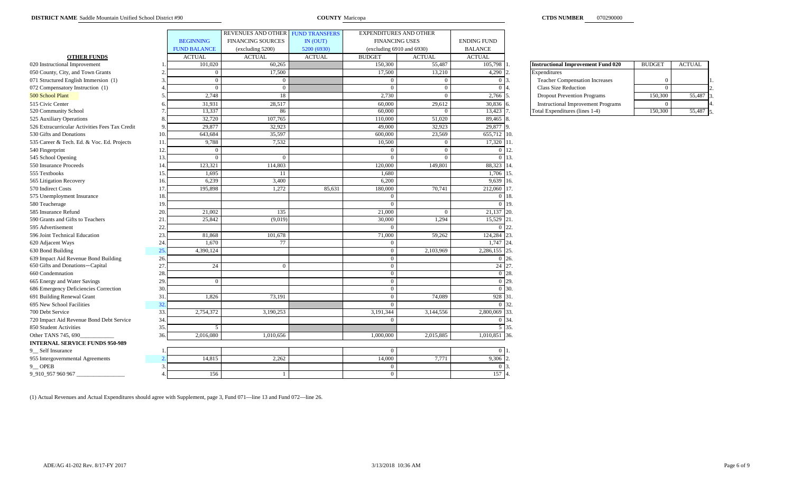|                                                |               |                     | REVENUES AND OTHER FUND TRANSFERS |               | <b>EXPENDITURES AND OTHER</b> |                |                               |                                           |                |               |
|------------------------------------------------|---------------|---------------------|-----------------------------------|---------------|-------------------------------|----------------|-------------------------------|-------------------------------------------|----------------|---------------|
|                                                |               | <b>BEGINNING</b>    | <b>FINANCING SOURCES</b>          | IN (OUT)      | <b>FINANCING USES</b>         |                | <b>ENDING FUND</b>            |                                           |                |               |
|                                                |               | <b>FUND BALANCE</b> | (excluding 5200)                  | 5200 (6930)   | (excluding 6910 and 6930)     |                | <b>BALANCE</b>                |                                           |                |               |
| <b>OTHER FUNDS</b>                             |               | <b>ACTUAL</b>       | <b>ACTUAL</b>                     | <b>ACTUAL</b> | <b>BUDGET</b>                 | <b>ACTUAL</b>  | <b>ACTUAL</b>                 |                                           |                |               |
| 020 Instructional Improvement                  |               | 101,020             | 60,265                            |               | 150,300                       | 55,487         | 105,798                       | <b>Instructional Improvement Fund 020</b> | <b>BUDGET</b>  | <b>ACTUAL</b> |
| 050 County, City, and Town Grants              |               | $\overline{0}$      | 17,500                            |               | 17,500                        | 13,210         | 4,290                         | Expenditures                              |                |               |
| 071 Structured English Immersion (1)           |               | $\overline{0}$      | $\sqrt{ }$                        |               | $\bf{0}$                      | $\overline{0}$ | $\overline{0}$ $\overline{1}$ | <b>Teacher Compensation Increases</b>     | $\overline{0}$ |               |
| 072 Compensatory Instruction (1)               |               | $\Omega$            |                                   |               | $\bf{0}$                      | $\Omega$       |                               | <b>Class Size Reduction</b>               | $\Omega$       |               |
| 500 School Plant                               |               | 2,748               | 18                                |               | 2,730                         | $\mathbf{0}$   | 2,766 5                       | <b>Dropout Prevention Programs</b>        | 150,300        | 55,487        |
| 515 Civic Center                               |               | 31,931              | 28,517                            |               | 60,000                        | 29,612         | 30,836                        | <b>Instructional Improvement Programs</b> | $\Omega$       |               |
| 520 Community School                           |               | 13,337              | 86                                |               | 60,000                        | $\Omega$       | 13,423                        | Total Expenditures (lines 1-4)            | 150,300        | 55,487        |
| 525 Auxiliary Operations                       |               | 32,720              | 107,765                           |               | 110,000                       | 51,020         | 89,465 8                      |                                           |                |               |
| 526 Extracurricular Activities Fees Tax Credit |               | 29,877              | 32,923                            |               | 49,000                        | 32,923         | 29,877 9.                     |                                           |                |               |
| 530 Gifts and Donations                        | $\frac{1}{2}$ | 643,684             | 35,597                            |               | 600,000                       | 23,569         | 655,712 10.                   |                                           |                |               |
| 535 Career & Tech. Ed. & Voc. Ed. Projects     | 11            | 9,788               | 7,532                             |               | 10,500                        | $\mathbf{0}$   | 17,320 11.                    |                                           |                |               |
| 540 Fingerprint                                | 12            | $\overline{0}$      |                                   |               | $\overline{0}$                | $\Omega$       |                               | $0\,12.$                                  |                |               |
| 545 School Opening                             | 13            | $\Omega$            |                                   |               | $\Omega$                      | $\Omega$       |                               | $0 \; 13.$                                |                |               |
| 550 Insurance Proceeds                         | 14            | 123,321             | 114,803                           |               | 120,000                       | 149,801        | 88,323 14.                    |                                           |                |               |
| 555 Textbooks                                  | 15            | 1,695               | <sup>11</sup>                     |               | 1,680                         |                | 1,706 15.                     |                                           |                |               |
| 565 Litigation Recovery                        | 16            | 6,239               | 3,400                             |               | 6,200                         |                | 9,639 16.                     |                                           |                |               |
| 570 Indirect Costs                             | 17            | 195,898             | 1,272                             | 85,631        | 180,000                       | 70,741         | 212,060 17.                   |                                           |                |               |
| 575 Unemployment Insurance                     | 18            |                     |                                   |               | $\bf{0}$                      |                |                               | $0\,18.$                                  |                |               |
| 580 Teacherage                                 | 19            |                     |                                   |               | $\overline{0}$                |                |                               | $0\,19.$                                  |                |               |
| 585 Insurance Refund                           | 20.           | 21,002              | 135                               |               | 21,000                        | $\overline{0}$ | 21,137 20.                    |                                           |                |               |
| 590 Grants and Gifts to Teachers               | 21            | 25.842              | (9.019)                           |               | 30,000                        | 1.294          | 15,529 21.                    |                                           |                |               |
| 595 Advertisement                              | 22            |                     |                                   |               | $\Omega$                      |                |                               | $0\,22.$                                  |                |               |
| 596 Joint Technical Education                  | 23.           | 81,868              | 101,678                           |               | 71,000                        | 59,262         | 124,284 23.                   |                                           |                |               |
| 620 Adjacent Ways                              | 24            | 1,670               | 77                                |               | $\bf{0}$                      |                | 1,747 24.                     |                                           |                |               |
| 630 Bond Building                              | 25            | 4,390,124           |                                   |               | $\bf{0}$                      | 2,103,969      | 2,286,155 25.                 |                                           |                |               |
| 639 Impact Aid Revenue Bond Building           | 26            |                     |                                   |               | $\overline{0}$                |                |                               | $0\,126.$                                 |                |               |
| 650 Gifts and Donations-Capital                | 27            | 24                  | $\Omega$                          |               | $\overline{0}$                |                | 24 27.                        |                                           |                |               |
| 660 Condemnation                               | 28            |                     |                                   |               | $\overline{0}$                |                |                               | $0^{\circ}$ 28.                           |                |               |
| 665 Energy and Water Savings                   | 29            | $\overline{0}$      |                                   |               | $\overline{0}$                |                |                               | $0\,$ 29.                                 |                |               |
| 686 Emergency Deficiencies Correction          | 30            |                     |                                   |               | $\bf{0}$                      |                |                               | $0\,$ 30.                                 |                |               |
| 691 Building Renewal Grant                     | 31            | 1,826               | 73,191                            |               | $\overline{0}$                | 74,089         | 928 31.                       |                                           |                |               |
| 695 New School Facilities                      | 32            |                     |                                   |               | $\overline{0}$                |                |                               | 0 32.                                     |                |               |
| 700 Debt Service                               | 33.           | 2,754,372           | 3,190,253                         |               | 3,191,344                     | 3,144,556      | 2,800,069 33.                 |                                           |                |               |
| 720 Impact Aid Revenue Bond Debt Service       | 34            |                     |                                   |               | $\overline{0}$                |                |                               | 0.34.                                     |                |               |
| 850 Student Activities                         | 35.           | 5                   |                                   |               |                               |                |                               | 5 35.                                     |                |               |
| Other TANS 745, 690                            | 36.           | 2,016,080           | 1,010,656                         |               | 1,000,000                     | 2,015,885      | 1,010,851 36.                 |                                           |                |               |
| <b>INTERNAL SERVICE FUNDS 950-989</b>          |               |                     |                                   |               |                               |                |                               |                                           |                |               |
| 9_ Self Insurance                              |               |                     |                                   |               | $\overline{0}$                |                | $\overline{0}$                |                                           |                |               |
| 955 Intergovernmental Agreements               |               | 14,815              | 2,262                             |               | 14,000                        | 7,771          | 9,306                         |                                           |                |               |
| 9 OPEB                                         |               |                     |                                   |               | $\Omega$                      |                |                               |                                           |                |               |
| 9_910_957 960 967                              |               | 156                 |                                   |               | $\overline{0}$                |                | 157 4                         |                                           |                |               |

| <b>Instructional Improvement Fund 020</b> | <b>BUDGET</b> | <b>ACTUAL</b> |  |
|-------------------------------------------|---------------|---------------|--|
| Expenditures                              |               |               |  |
| <b>Teacher Compensation Increases</b>     |               |               |  |
| Class Size Reduction                      |               |               |  |
| <b>Dropout Prevention Programs</b>        | 150,300       | 55,48         |  |
| <b>Instructional Improvement Programs</b> |               |               |  |
| Total Expenditures (lines 1-4)            | 150.300       |               |  |

(1) Actual Revenues and Actual Expenditures should agree with Supplement, page 3, Fund 071—line 13 and Fund 072—line 26.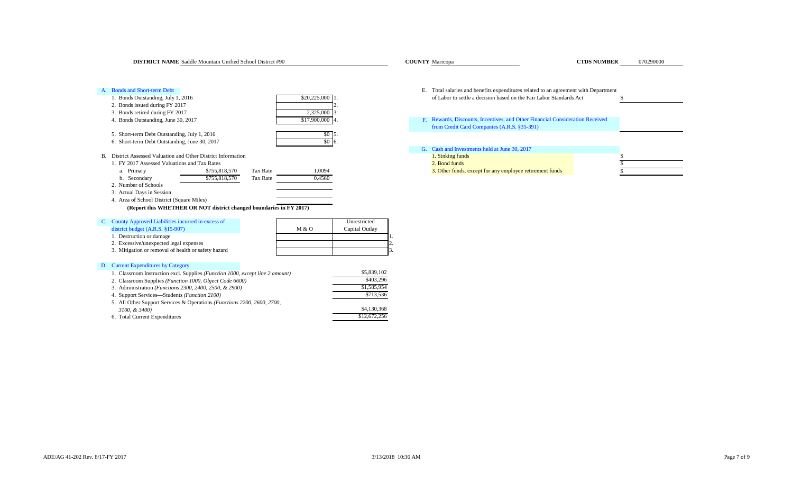**COUNTY** Maricopa

| <b>Bonds and Short-term Debt</b><br>1. Bonds Outstanding, July 1, 2016<br>2. Bonds issued during FY 2017         | \$20,225,000                 | Е.             | Total salaries and benefits expenditures related to an agreement with Department<br>of Labor to settle a decision based on the Fair Labor Standards Act |  |
|------------------------------------------------------------------------------------------------------------------|------------------------------|----------------|---------------------------------------------------------------------------------------------------------------------------------------------------------|--|
| 3. Bonds retired during FY 2017<br>4. Bonds Outstanding, June 30, 2017                                           | 2,325,000<br>\$17,900,000 4. |                | F. Rewards, Discounts, Incentives, and Other Financial Consideration Received<br>from Credit Card Companies (A.R.S. §35-391)                            |  |
| 5. Short-term Debt Outstanding, July 1, 2016                                                                     | $$0\,$ 5.                    |                |                                                                                                                                                         |  |
| 6. Short-term Debt Outstanding, June 30, 2017                                                                    | $$0\overline{6}$ .           |                | G. Cash and Investments held at June 30, 2017                                                                                                           |  |
| District Assessed Valuation and Other District Information<br>В.<br>1. FY 2017 Assessed Valuations and Tax Rates |                              |                | 1. Sinking funds<br>2. Bond funds                                                                                                                       |  |
| Tax Rate<br>\$755,818,570<br>a. Primary<br>\$755,818,570<br>b. Secondary<br>Tax Rate                             | 1.0094<br>0.4560             |                | 3. Other funds, except for any employee retirement funds                                                                                                |  |
| 2. Number of Schools<br>3. Actual Days in Session                                                                |                              |                |                                                                                                                                                         |  |
| 4. Area of School District (Square Miles)                                                                        |                              |                |                                                                                                                                                         |  |
| (Report this WHETHER OR NOT district changed boundaries in FY 2017)                                              |                              |                |                                                                                                                                                         |  |
| C. County Approved Liabilities incurred in excess of                                                             |                              | Unrestricted   |                                                                                                                                                         |  |
| district budget $(A.R.S. §15-907)$                                                                               | M & O                        | Capital Outlay |                                                                                                                                                         |  |
| 1. Destruction or damage                                                                                         |                              |                |                                                                                                                                                         |  |
| 2. Excessive/unexpected legal expenses                                                                           |                              |                |                                                                                                                                                         |  |
| 3. Mitigation or removal of health or safety hazard                                                              |                              |                |                                                                                                                                                         |  |
| D. Current Expenditures by Category                                                                              |                              |                |                                                                                                                                                         |  |
| 1. Classroom Instruction excl. Supplies (Function 1000, except line 2 amount)                                    |                              | \$5,839,102    |                                                                                                                                                         |  |
| 2. Classroom Supplies (Function 1000, Object Code 6600)                                                          |                              | \$403.296      |                                                                                                                                                         |  |
| 3 Administration ( <i>Functions</i> 2300 2400 2500 & 2900)                                                       |                              | \$1,585,954    |                                                                                                                                                         |  |

of Labor to settle a decision based on the Fair Labor Standards Act \$ [G.](#page-19-1)  [Cash and Investments held at June 30, 2017](#page-19-1)3. Other funds, except for any employee retirement funds [Rewards, Discounts, Incentives, and Other Financial Consideration Received](#page-19-0)  [from Credit Card Com](#page-19-0)panies (A.R.S. §35-391)

| 1. Classroom Instruction excl. Supplies ( <i>Function 1000, except line 2 amount</i> ) | \$5,839,102  |
|----------------------------------------------------------------------------------------|--------------|
| 2. Classroom Supplies ( <i>Function 1000, Object Code 6600</i> )                       | \$403.296    |
| 3. Administration ( <i>Functions 2300, 2400, 2500, &amp; 2900</i> )                    | \$1,585,954  |
| 4. Support Services—Students <i>(Function 2100)</i>                                    | \$713.536    |
| 5. All Other Support Services & Operations ( <i>Functions 2200, 2600, 2700</i> ,       |              |
| 3100, & 3400)                                                                          | \$4,130,368  |
| 6. Total Current Expenditures                                                          | \$12,672,256 |
|                                                                                        |              |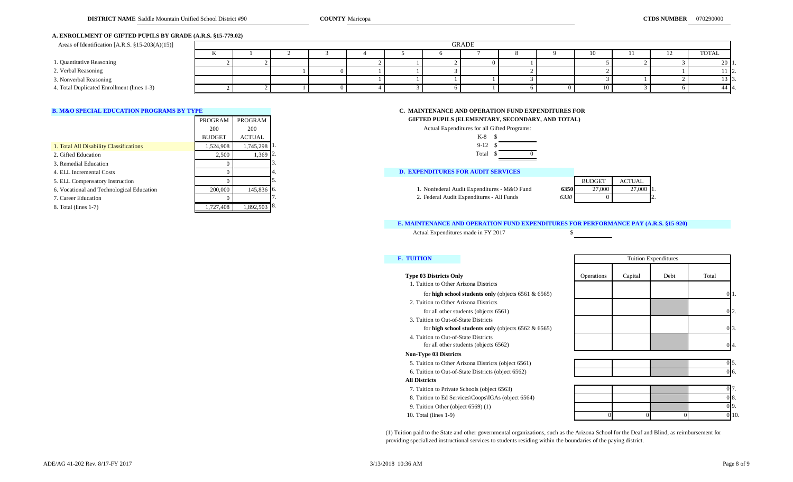### **A. ENROLLMENT OF GIFTED PUPILS BY GRADE (A.R.S. §15-779.02)**

| Areas of Identification [A.R.S. §15-203(A)(15)] | GRADE |  |  |  |  |  |  |       |  |              |
|-------------------------------------------------|-------|--|--|--|--|--|--|-------|--|--------------|
|                                                 |       |  |  |  |  |  |  | l ( ) |  | <b>TOTAL</b> |
| 1. Quantitative Reasoning                       |       |  |  |  |  |  |  |       |  |              |
| 2. Verbal Reasoning                             |       |  |  |  |  |  |  |       |  | 11 12        |
| 3. Nonverbal Reasoning                          |       |  |  |  |  |  |  |       |  |              |
| 4. Total Duplicated Enrollment (lines 1-3)      |       |  |  |  |  |  |  | 10    |  | 44 4         |

|                                           | PROGRAM       | PROGRAM      | GIFTED PUPILS (ELEMENTARY, SECONDARY, AND TOTAL)    |               |               |  |
|-------------------------------------------|---------------|--------------|-----------------------------------------------------|---------------|---------------|--|
|                                           | 200           | 200          | Actual Expenditures for all Gifted Programs:        |               |               |  |
|                                           | <b>BUDGET</b> | ACTUAL       | K-8                                                 |               |               |  |
| 1. Total All Disability Classifications   | 1,524,908     | 1.745.298 1. | $9-12$                                              |               |               |  |
| 2. Gifted Education                       | 2.500         | 1.369 2.     | Total                                               |               |               |  |
| 3. Remedial Education                     |               |              |                                                     |               |               |  |
| 4. ELL Incremental Costs                  |               |              | <b>D. EXPENDITURES FOR AUDIT SERVICES</b>           |               |               |  |
| 5. ELL Compensatory Instruction           |               |              |                                                     | <b>BUDGET</b> | <b>ACTUAL</b> |  |
| 6. Vocational and Technological Education | 200,000       | 145,836 6.   | 1. Nonfederal Audit Expenditures - M&O Fund<br>6350 | 27,000        | 27,00         |  |
| 7. Career Education                       |               |              | 2. Federal Audit Expenditures - All Funds<br>6330   |               |               |  |
| 8. Total (lines 1-7)                      | .727.408      | 1.892.503 8. |                                                     |               |               |  |

## **[B. M&O SPECIAL EDUCATION PROGRAMS BY TYPE](#page-20-0) C. MAINTENANCE AND OPERATION FUND EXPENDITURES FOR**

**GIFTED PUPILS (ELEMENTARY, SECONDARY, AND TOTAL)** 

| Actual Expenditures for all Gifted Programs: |  |
|----------------------------------------------|--|
| $K-8$ $S$                                    |  |
| $9-12S$                                      |  |
| Total \$                                     |  |

# **D. EXPENDITURES FOR AUDIT SERVICES**

|     | <b>BUDGET</b> | <b>ACTUAL</b> |  |
|-----|---------------|---------------|--|
| 350 | 27,000        | 27,000        |  |
| 330 |               |               |  |

### **[E. MAINTENANCE AND OPERATION FUND EXPENDITURES FOR PERFORMANCE PAY \(A.R.S. §15-920\)](#page-20-2)**

Actual Expenditures made in FY 2017 \$

|  |  | ______ |
|--|--|--------|
|  |  |        |
|  |  |        |
|  |  |        |
|  |  |        |
|  |  |        |
|  |  |        |
|  |  |        |

### **[F. TUITION](#page-20-3)**

|  |  | <b>Type 03 Districts Only</b> |  |
|--|--|-------------------------------|--|
|--|--|-------------------------------|--|

- 1. Tuition to Other Arizona Districts for **high school students only** (objects 6561 & 6565)
- 2. Tuition to Other Arizona Districts
- for all other students (objects 6561)
- 3. Tuition to Out-of-State Districts
	- for **high school students only** (objects 6562 & 6565)
- 4. Tuition to Out-of-State Districts for all other students (objects 6562)

### **Non-Type 03 Districts**

- 5. Tuition to Other Arizona Districts (object 6561)
- 6. Tuition to Out-of-State Districts (object 6562)
- **All Districts**
- 7. Tuition to Private Schools (object 6563)
- 8. Tuition to Ed Services\Coops\IGAs (object 6564)
- 9. Tuition Other (object 6569) (1)
- 10. Total (lines 1-9)

| <b>F. TUITION</b>                                       | <b>Tuition Expenditures</b> |         |      |                   |  |  |
|---------------------------------------------------------|-----------------------------|---------|------|-------------------|--|--|
| <b>Type 03 Districts Only</b>                           | Operations                  | Capital | Debt | Total             |  |  |
| 1. Tuition to Other Arizona Districts                   |                             |         |      |                   |  |  |
| for high school students only (objects $6561 & 6565$ )  |                             |         |      | 01.               |  |  |
| 2. Tuition to Other Arizona Districts                   |                             |         |      |                   |  |  |
| for all other students (objects 6561)                   |                             |         |      | $0\overline{2}$ . |  |  |
| 3. Tuition to Out-of-State Districts                    |                             |         |      |                   |  |  |
| for high school students only (objects $6562 \& 6565$ ) |                             |         |      | $0\overline{3}$ . |  |  |
| 4. Tuition to Out-of-State Districts                    |                             |         |      |                   |  |  |
| for all other students (objects 6562)                   |                             |         |      | 0 <sub>4</sub>    |  |  |
| <b>Non-Tyne 03 Districts</b>                            |                             |         |      |                   |  |  |



| 017<br>. .        |  |  |
|-------------------|--|--|
| 08.               |  |  |
| 09.               |  |  |
| $\overline{0}$ 10 |  |  |

(1) Tuition paid to the State and other governmental organizations, such as the Arizona School for the Deaf and Blind, as reimbursement for providing specialized instructional services to students residing within the boundaries of the paying district.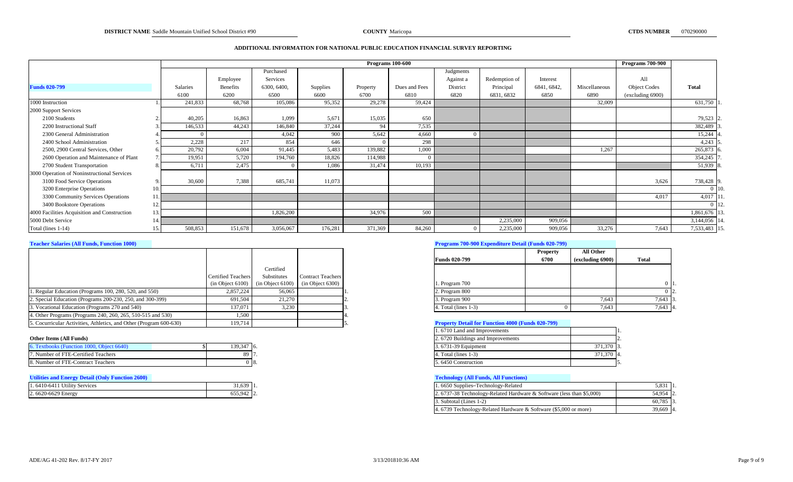### **ADDITIONAL INFORMATION FOR NATIONAL PUBLIC EDUCATION FINANCIAL SURVEY REPORTING**

|                                              |     |                 |          |             |          | <b>Programs</b> 100-600 |               |           |               |             |               | <b>Programs 700-900</b> |               |
|----------------------------------------------|-----|-----------------|----------|-------------|----------|-------------------------|---------------|-----------|---------------|-------------|---------------|-------------------------|---------------|
|                                              |     |                 |          | Purchased   |          |                         |               | Judgments |               |             |               |                         |               |
|                                              |     |                 | Employee | Services    |          |                         |               | Against a | Redemption of | Interest    |               | All                     |               |
| <b>Funds 020-799</b>                         |     | <b>Salaries</b> | Benefits | 6300, 6400, | Supplies | Property                | Dues and Fees | District  | Principal     | 6841, 6842, | Miscellaneous | <b>Object Codes</b>     | <b>Total</b>  |
|                                              |     | 6100            | 6200     | 6500        | 6600     | 6700                    | 6810          | 6820      | 6831, 6832    | 6850        | 6890          | (excluding 6900)        |               |
| 1000 Instruction                             |     | 241,833         | 68,768   | 105,086     | 95,352   | 29,278                  | 59,424        |           |               |             | 32,009        |                         | 631,750 1     |
| 2000 Support Services                        |     |                 |          |             |          |                         |               |           |               |             |               |                         |               |
| 2100 Students                                |     | 40,205          | 16,863   | 1.099       | 5,671    | 15,035                  | 650           |           |               |             |               |                         | 79,523 2      |
| 2200 Instructional Staff                     |     | 146,533         | 44,243   | 146,840     | 37,244   | 94                      | 7,535         |           |               |             |               |                         | 382,489       |
| 2300 General Administration                  |     |                 |          | 4.042       | 900      | 5,642                   | 4,660         |           |               |             |               |                         | 15,244        |
| 2400 School Administration                   |     | 2,228           | 217      | 854         | 646      |                         | 298           |           |               |             |               |                         | $4,243$ 5     |
| 2500, 2900 Central Services, Other           |     | 20,792          | 6,004    | 91,445      | 5,483    | 139,882                 | 1,000         |           |               |             | 1,267         |                         | 265,873       |
| 2600 Operation and Maintenance of Plant      |     | 19,951          | 5,720    | 194,760     | 18,826   | 114,988                 |               |           |               |             |               |                         | 354,245       |
| 2700 Student Transportation                  |     | 6,711           | 2,475    |             | 1,086    | 31,474                  | 10,193        |           |               |             |               |                         | 51,939 8      |
| 3000 Operation of Noninstructional Services  |     |                 |          |             |          |                         |               |           |               |             |               |                         |               |
| 3100 Food Service Operations                 |     | 30,600          | 7,388    | 685,741     | 11,073   |                         |               |           |               |             |               | 3,626                   | 738,428 9     |
| 3200 Enterprise Operations                   | 10. |                 |          |             |          |                         |               |           |               |             |               |                         | $0$   10.     |
| 3300 Community Services Operations           |     |                 |          |             |          |                         |               |           |               |             |               | 4,017                   | 4,017 11      |
| 3400 Bookstore Operations                    | 12  |                 |          |             |          |                         |               |           |               |             |               |                         | $0 \vert 12.$ |
| 4000 Facilities Acquisition and Construction | 13. |                 |          | 1,826,200   |          | 34,976                  | 500           |           |               |             |               |                         | 1,861,676 13  |
| 5000 Debt Service                            | 14. |                 |          |             |          |                         |               |           | 2,235,000     | 909,056     |               |                         | 3,144,056 14  |
| Total (lines 1-14)                           | 15  | 508,853         | 151,678  | 3,056,067   | 176,281  | 371,369                 | 84,260        |           | 2,235,000     | 909,056     | 33,276        | 7,643                   | 7,533,483 15  |

|                                                                    |                           |             |                                                          |                                                          | <b>Property</b> | All Other        |              |
|--------------------------------------------------------------------|---------------------------|-------------|----------------------------------------------------------|----------------------------------------------------------|-----------------|------------------|--------------|
|                                                                    |                           |             |                                                          | <b>Funds 020-799</b>                                     | 6700            | (excluding 6900) | <b>Total</b> |
|                                                                    |                           | Certified   |                                                          |                                                          |                 |                  |              |
|                                                                    | <b>Certified Teachers</b> | Substitutes | <b>Contract Teachers</b>                                 |                                                          |                 |                  |              |
|                                                                    |                           |             | $(in Object 6100)$ $(in Object 6100)$ $(in Object 6300)$ | 1. Program 700                                           |                 |                  | 0 I          |
| 1. Regular Education (Programs 100, 280, 520, and 550)             | 2.857.224                 | 56.065      |                                                          | 2. Program 800                                           |                 |                  |              |
| 2. Special Education (Programs 200-230, 250, and 300-399)          | 691.504                   | 21,270      |                                                          | 3. Program 900                                           |                 | 7.643            | 7,643        |
| 3. Vocational Education (Programs 270 and 540)                     | 137.071                   | 3.230       |                                                          | 4. Total (lines 1-3)                                     |                 | 7.643            | 7,643 4.     |
| 4. Other Programs (Programs 240, 260, 265, 510-515 and 530)        | 1.500                     |             |                                                          |                                                          |                 |                  |              |
| 5. Cocurricular Activities, Athletics, and Other (Program 600-630) | 119,714                   |             |                                                          | <b>Property Detail for Function 4000 (Funds 020-799)</b> |                 |                  |              |

| 6. Textbooks (Function 1000, Object 6640) | 139,347 6. | 3.6731-39 Equipment |  |
|-------------------------------------------|------------|---------------------|--|
| 7. Number of FTE-Certified Teachers       | -89 LL     | Total (lines 1-3)   |  |
| 8. Number of FTE-Contract Teachers        | 0 B.       | 5.6450 Construction |  |

# **[Utilities and Energy Detail \(Only Function 2600\)](#page-21-5) [Technology \(All Funds, All Functions\)](#page-21-6)**

| 1.6410-6411 Utility Services | 31,639  | и      |
|------------------------------|---------|--------|
| 2.6620-6629 Energy           | 655,942 | ∽<br>▵ |

# **[Teacher Salaries \(All Funds, Function 1000\)](#page-21-1) [Programs 700-900 Expenditure Detail \(Funds 020-799\)](#page-21-2)**

|                         | <b>Property</b> | All Other        |              |
|-------------------------|-----------------|------------------|--------------|
| <b>Funds 020-799</b>    | 6700            | (excluding 6900) | Total        |
|                         |                 |                  |              |
| 1. Program 700          |                 |                  |              |
| 2. Program 800          |                 |                  | 2.           |
| 3. Program 900          |                 | 7,643            | 13.<br>7,643 |
| 4. Total (lines $1-3$ ) |                 | 7,643            | 7,643<br>14. |

### **Froperty Detail for Function 4000 (Funds 020-799)**

|                                           |            |      |  | 1.6710 Land and Improvements      |            |  |
|-------------------------------------------|------------|------|--|-----------------------------------|------------|--|
| Other Items (All Funds)                   |            |      |  | 2.6720 Buildings and Improvements |            |  |
| 6. Textbooks (Function 1000, Object 6640) | 139,347 6. |      |  | 3.6731-39 Equipment               | 371,370 3. |  |
| 7. Number of FTE-Certified Teachers       | 89 I7      |      |  | 4. Total (lines 1-3)              | 371,370 4. |  |
| 8. Number of FTE-Contract Teachers        |            | -18. |  | 5.6450 Construction               |            |  |

| 31,639 1.  | 1.6650 Supplies–Technology-Related                                    | 5.831       |  |
|------------|-----------------------------------------------------------------------|-------------|--|
| 655.942 2. | 2. 6737-38 Technology-Related Hardware & Software (less than \$5,000) | 54.954 2.   |  |
|            | 3. Subtotal (Lines 1-2)                                               | $60,785$ 3. |  |
|            | 4.6739 Technology-Related Hardware & Software (\$5,000 or more)       | 39,669 4.   |  |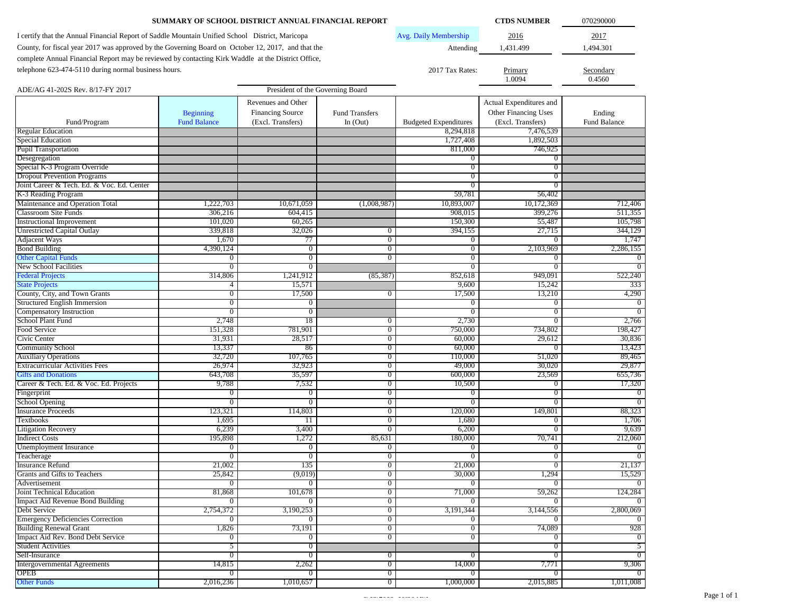| SUMMARY OF SCHOOL DISTRICT ANNUAL FINANCIAL REPORT                                                 |                          | <b>CTDS NUMBER</b>               | 070290000                        |                              |                                  |                      |
|----------------------------------------------------------------------------------------------------|--------------------------|----------------------------------|----------------------------------|------------------------------|----------------------------------|----------------------|
| I certify that the Annual Financial Report of Saddle Mountain Unified School District, Maricopa    |                          |                                  |                                  | Avg. Daily Membership        | 2016                             | 2017                 |
| County, for fiscal year 2017 was approved by the Governing Board on October 12, 2017, and that the |                          |                                  |                                  | Attending                    | 1,431.499                        | 1,494.301            |
|                                                                                                    |                          |                                  |                                  |                              |                                  |                      |
| complete Annual Financial Report may be reviewed by contacting Kirk Waddle at the District Office, |                          |                                  |                                  |                              |                                  |                      |
| telephone 623-474-5110 during normal business hours.                                               |                          |                                  |                                  | 2017 Tax Rates:              | Primary                          | Secondary            |
|                                                                                                    |                          |                                  |                                  |                              | 1.0094                           | 0.4560               |
| ADE/AG 41-202S Rev. 8/17-FY 2017                                                                   |                          | President of the Governing Board |                                  |                              |                                  |                      |
|                                                                                                    |                          | Revenues and Other               |                                  |                              | Actual Expenditures and          |                      |
|                                                                                                    | <b>Beginning</b>         | <b>Financing Source</b>          | <b>Fund Transfers</b>            |                              | Other Financing Uses             | Ending               |
| Fund/Program                                                                                       | <b>Fund Balance</b>      | (Excl. Transfers)                | In $(Out)$                       | <b>Budgeted Expenditures</b> | (Excl. Transfers)                | Fund Balance         |
| <b>Regular Education</b>                                                                           |                          |                                  |                                  | 8,294,818                    | 7,476,539                        |                      |
| Special Education                                                                                  |                          |                                  |                                  | 1,727,408                    | 1,892,503                        |                      |
| <b>Pupil Transportation</b>                                                                        |                          |                                  |                                  | 811,000                      | 746,925                          |                      |
| Desegregation                                                                                      |                          |                                  |                                  | $\mathbf{0}$                 | $\overline{0}$                   |                      |
| Special K-3 Program Override                                                                       |                          |                                  |                                  | $\mathbf{0}$                 | $\overline{0}$                   |                      |
| <b>Dropout Prevention Programs</b>                                                                 |                          |                                  |                                  | $\mathbf{0}$                 | $\overline{0}$                   |                      |
| Joint Career & Tech. Ed. & Voc. Ed. Center                                                         |                          |                                  |                                  | $\mathbf{0}$                 | $\overline{0}$                   |                      |
| K-3 Reading Program                                                                                |                          |                                  |                                  | 59,781                       | 56,402                           |                      |
| Maintenance and Operation Total<br>Classroom Site Funds                                            | 1,222,703                | 10,671,059<br>604,415            | (1,008,987)                      | 10,893,007                   | 10,172,369                       | 712,406              |
| <b>Instructional Improvement</b>                                                                   | 306,216<br>101,020       | 60,265                           |                                  | 908,015<br>150,300           | 399,276<br>55,487                | 511,355<br>105,798   |
| <b>Unrestricted Capital Outlay</b>                                                                 | 339,818                  | 32,026                           | $\mathbf{0}$                     | 394,155                      | 27,715                           | 344,129              |
| <b>Adjacent Ways</b>                                                                               | 1,670                    | 77                               | $\overline{0}$                   | $\mathbf{0}$                 | $\overline{0}$                   | 1,747                |
| <b>Bond Building</b>                                                                               | 4,390,124                | $\overline{0}$                   | $\overline{0}$                   | $\overline{0}$               | 2,103,969                        | 2.286.155            |
| <b>Other Capital Funds</b>                                                                         | $\overline{0}$           | $\bf{0}$                         | $\overline{0}$                   | $\overline{0}$               | $\theta$                         | 0                    |
| New School Facilities                                                                              | $\overline{0}$           | $\overline{0}$                   |                                  | $\mathbf{0}$                 | $\overline{0}$                   | 0                    |
| <b>Federal Projects</b>                                                                            | 314,806                  | 1,241,912                        | (85, 387)                        | 852,618                      | 949,091                          | 522,240              |
| <b>State Projects</b>                                                                              | 4                        | 15,571                           |                                  | 9,600                        | 15,242                           | 333                  |
| County, City, and Town Grants                                                                      | $\overline{0}$           | 17,500                           | $\overline{0}$                   | 17,500                       | 13,210                           | 4,290                |
| Structured English Immersion                                                                       | $\overline{0}$           | $\mathbf{0}$                     |                                  | $\bf{0}$                     | $\overline{0}$                   | $\Omega$             |
| Compensatory Instruction                                                                           | $\overline{0}$           | $\overline{0}$                   |                                  | $\overline{0}$               | $\overline{0}$                   | $\Omega$             |
| School Plant Fund                                                                                  | 2,748                    | 18                               | $\mathbf{0}$                     | 2,730                        | $\overline{0}$                   | 2,766                |
| Food Service                                                                                       | 151,328                  | 781,901                          | $\overline{0}$                   | 750,000                      | 734,802                          | 198,427              |
| Civic Center                                                                                       | 31,931                   | 28,517                           | $\overline{0}$                   | 60,000                       | 29,612                           | 30,836               |
| <b>Community School</b>                                                                            | 13,337                   | 86                               | $\overline{0}$                   | 60,000                       | $\overline{0}$                   | 13,423               |
| <b>Auxiliary Operations</b>                                                                        | 32,720                   | 107,765                          | $\overline{0}$                   | 110,000                      | 51,020                           | 89,465               |
| <b>Extracurricular Activities Fees</b>                                                             | 26,974                   | 32,923                           | $\overline{0}$                   | 49,000                       | 30,020                           | 29,877               |
| <b>Gifts and Donations</b>                                                                         | 643,708                  | 35,597                           | $\overline{0}$                   | 600,000                      | 23,569                           | 655,736              |
| Career & Tech. Ed. & Voc. Ed. Projects                                                             | 9,788                    | 7,532                            | $\overline{0}$<br>$\overline{0}$ | 10,500                       | $\overline{0}$<br>$\overline{0}$ | 17,320               |
| Fingerprint<br>School Opening                                                                      | 0<br>$\overline{0}$      | $\mathbf{0}$<br>$\overline{0}$   | $\overline{0}$                   | $\bf{0}$<br>$\mathbf{0}$     | $\overline{0}$                   | $\bf{0}$<br>$\Omega$ |
| <b>Insurance Proceeds</b>                                                                          | 123,321                  | 114,803                          | $\overline{0}$                   | 120,000                      | 149,801                          | 88,323               |
| <b>Textbooks</b>                                                                                   | 1,695                    | 11                               | $\theta$                         | 1,680                        | $\overline{0}$                   | 1,706                |
| <b>Litigation Recovery</b>                                                                         | 6,239                    | 3,400                            | $\theta$                         | 6,200                        | $\overline{0}$                   | 9,639                |
| <b>Indirect Costs</b>                                                                              | 195,898                  | 1,272                            | 85,631                           | 180,000                      | 70,741                           | 212,060              |
| <b>Unemployment Insurance</b>                                                                      | $\overline{0}$           | $\mathbf{0}$                     | $\overline{0}$                   | $\bf{0}$                     | $\mathbf{0}$                     | $\Omega$             |
| Teacherage                                                                                         | $\overline{0}$           | $\overline{0}$                   | $\overline{0}$                   | $\overline{0}$               | $\overline{0}$                   | $\overline{0}$       |
| <b>Insurance Refund</b>                                                                            | 21,002                   | 135                              | $\overline{0}$                   | 21,000                       | $\overline{0}$                   | 21,137               |
| Grants and Gifts to Teachers                                                                       | 25,842                   | (9,019)                          | $\overline{0}$                   | 30,000                       | 1,294                            | 15,529               |
| Advertisement                                                                                      | $\overline{0}$           | $\overline{0}$                   | $\overline{0}$                   | $\overline{0}$               | $\overline{0}$                   | $\Omega$             |
| Joint Technical Education                                                                          | 81,868                   | 101,678                          | $\overline{0}$                   | 71,000                       | 59,262                           | 124,284              |
| <b>Impact Aid Revenue Bond Building</b>                                                            | $\overline{0}$           | $\overline{0}$                   | $\overline{0}$                   | $\overline{0}$               | $\overline{0}$                   | $\Omega$             |
| Debt Service                                                                                       | 2,754,372                | 3,190,253                        | $\overline{0}$                   | 3,191,344                    | 3,144,556                        | 2,800,069            |
| <b>Emergency Deficiencies Correction</b>                                                           | $\overline{0}$           | $\overline{0}$                   | $\overline{0}$                   | $\overline{0}$               | $\overline{0}$                   | $\Omega$             |
| <b>Building Renewal Grant</b>                                                                      | 1,826                    | 73,191                           | $\overline{0}$                   | $\overline{0}$               | 74,089                           | 928                  |
| Impact Aid Rev. Bond Debt Service                                                                  | $\overline{0}$           | $\bf{0}$                         | $\overline{0}$                   | $\overline{0}$               | $\overline{0}$                   | $\theta$             |
| <b>Student Activities</b>                                                                          | 5                        | $\overline{0}$                   |                                  |                              | $\overline{0}$                   | 5                    |
| Self-Insurance                                                                                     | $\overline{0}$           | $\overline{0}$                   | $\overline{0}$                   | $\overline{0}$               | $\overline{0}$                   | $\Omega$             |
| <b>Intergovernmental Agreements</b><br>OPEB                                                        | 14,815<br>$\overline{0}$ | 2,262<br>$\overline{0}$          | $\overline{0}$<br>$\overline{0}$ | 14,000<br>$\overline{0}$     | 7,771                            | 9,306                |
| <b>Other Funds</b>                                                                                 |                          |                                  |                                  |                              | $\overline{0}$                   | $\Omega$             |
|                                                                                                    | 2,016,236                | 1,010,657                        | $\overline{0}$                   | 1,000,000                    | 2,015,885                        | 1,011,008            |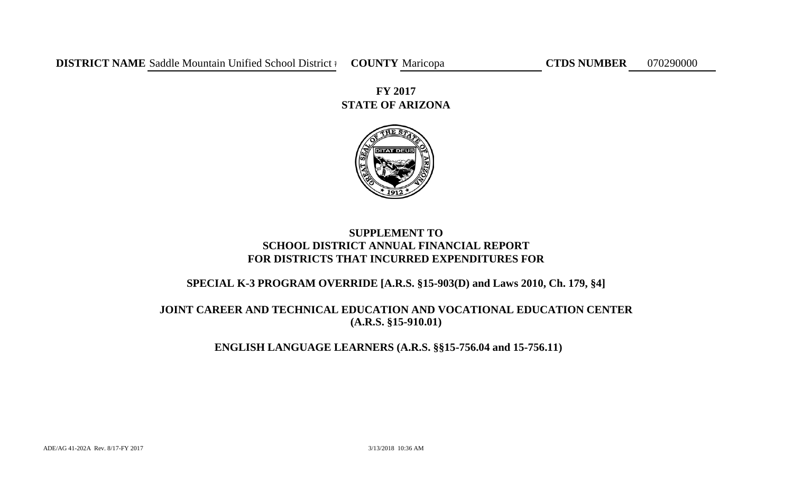**STATE OF ARIZONA FY 2017**



# **SUPPLEMENT TO SCHOOL DISTRICT ANNUAL FINANCIAL REPORT FOR DISTRICTS THAT INCURRED EXPENDITURES FOR**

# **SPECIAL K-3 PROGRAM OVERRIDE [A.R.S. §15-903(D) and Laws 2010, Ch. 179, §4]**

# **JOINT CAREER AND TECHNICAL EDUCATION AND VOCATIONAL EDUCATION CENTER (A.R.S. §15-910.01)**

# **ENGLISH LANGUAGE LEARNERS (A.R.S. §§15-756.04 and 15-756.11)**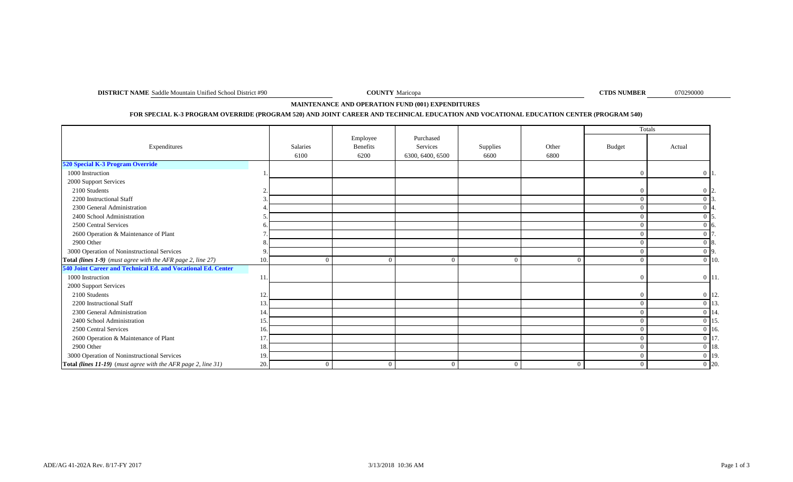**DISTRICT NAME** Saddle Mountain Unified School District #90 **COUNTY** Maricopa **COUNTY** Maricopa **COUNTY** Maricopa **COUNTY** Maricopa **COUNTY** Maricopa **COUNTY** Maricopa **COUNTY** Maricopa **COUNTY** Maricopa **COUNTY** Maricopa

**COUNTY** Maricopa

070290000

**MAINTENANCE AND OPERATION FUND (001) EXPENDITURES** 

# **FOR SPECIAL K-3 PROGRAM OVERRIDE (PROGRAM 520) AND JOINT CAREER AND TECHNICAL EDUCATION AND VOCATIONAL EDUCATION CENTER (PROGRAM 540)**

|                                                               |     |                 |                 |                  |                |          |                | Totals                   |
|---------------------------------------------------------------|-----|-----------------|-----------------|------------------|----------------|----------|----------------|--------------------------|
|                                                               |     |                 | Employee        | Purchased        |                |          |                |                          |
| Expenditures                                                  |     | <b>Salaries</b> | <b>Benefits</b> | Services         | Supplies       | Other    | <b>Budget</b>  | Actual                   |
|                                                               |     | 6100            | 6200            | 6300, 6400, 6500 | 6600           | 6800     |                |                          |
| 520 Special K-3 Program Override                              |     |                 |                 |                  |                |          |                |                          |
| 1000 Instruction                                              |     |                 |                 |                  |                |          | $\theta$       | $0\vert 1$               |
| 2000 Support Services                                         |     |                 |                 |                  |                |          |                |                          |
| 2100 Students                                                 |     |                 |                 |                  |                |          | $\overline{0}$ | $\vert 0 \vert \vert 2.$ |
| 2200 Instructional Staff                                      |     |                 |                 |                  |                |          | $\overline{0}$ |                          |
| 2300 General Administration                                   |     |                 |                 |                  |                |          | $\Omega$       | $0\vert 4$               |
| 2400 School Administration                                    |     |                 |                 |                  |                |          | $\Omega$       | $0\,$ 15.                |
| 2500 Central Services                                         |     |                 |                 |                  |                |          | $\Omega$       | $0\,$ 6.                 |
| 2600 Operation & Maintenance of Plant                         |     |                 |                 |                  |                |          | $\Omega$       | $0\vert 7$               |
| 2900 Other                                                    |     |                 |                 |                  |                |          | $\Omega$       | $0\,$ 8.                 |
| 3000 Operation of Noninstructional Services                   |     |                 |                 |                  |                |          | $\Omega$       | $0\,$ 9.                 |
| Total (lines 1-9) (must agree with the AFR page 2, line 27)   | 10. | $\Omega$        | $\Omega$        | $\Omega$         | $\Omega$       |          | $\overline{0}$ | $0$ 10.                  |
| 540 Joint Career and Technical Ed. and Vocational Ed. Center  |     |                 |                 |                  |                |          |                |                          |
| 1000 Instruction                                              | 11. |                 |                 |                  |                |          | $\overline{0}$ | $0 \; 11.$               |
| 2000 Support Services                                         |     |                 |                 |                  |                |          |                |                          |
| 2100 Students                                                 | 12. |                 |                 |                  |                |          | $\overline{0}$ | $0$ 12.                  |
| 2200 Instructional Staff                                      | 13. |                 |                 |                  |                |          | $\overline{0}$ | 0 13.                    |
| 2300 General Administration                                   | 14. |                 |                 |                  |                |          | $\Omega$       | 0 14.                    |
| 2400 School Administration                                    | 15. |                 |                 |                  |                |          | $\Omega$       | $0\vert 15$              |
| 2500 Central Services                                         | 16. |                 |                 |                  |                |          | $\overline{0}$ | $0 \vert 16$             |
| 2600 Operation & Maintenance of Plant                         | 17. |                 |                 |                  |                |          | $\theta$       | 0 17.                    |
| 2900 Other                                                    | 18. |                 |                 |                  |                |          | $\Omega$       | $0\vert 18$              |
| 3000 Operation of Noninstructional Services                   | 19. |                 |                 |                  |                |          | $\overline{0}$ | 0 19                     |
| Total (lines 11-19) (must agree with the AFR page 2, line 31) | 20. | $\overline{0}$  | $\overline{0}$  | $\Omega$         | $\overline{0}$ | $\Omega$ | $\overline{0}$ | $0$ 20.                  |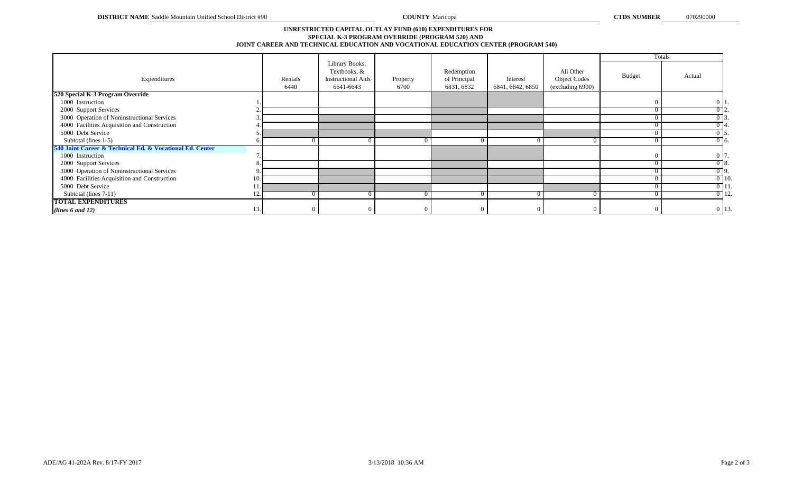## **SPECIAL K-3 PROGRAM OVERRIDE (PROGRAM 520) AND JOINT CAREER AND TECHNICAL EDUCATION AND VOCATIONAL EDUCATION CENTER (PROGRAM 540) UNRESTRICTED CAPITAL OUTLAY FUND (610) EXPENDITURES FOR**

|                                                          |    |                 |                                                                          |                  |                                          |                              |                                                      |               | Totals            |
|----------------------------------------------------------|----|-----------------|--------------------------------------------------------------------------|------------------|------------------------------------------|------------------------------|------------------------------------------------------|---------------|-------------------|
| Expenditures                                             |    | Rentals<br>6440 | Library Books,<br>Textbooks, &<br><b>Instructional Aids</b><br>6641-6643 | Property<br>6700 | Redemption<br>of Principal<br>6831, 6832 | Interest<br>6841, 6842, 6850 | All Other<br><b>Object Codes</b><br>(excluding 6900) | <b>Budget</b> | Actual            |
| 520 Special K-3 Program Override                         |    |                 |                                                                          |                  |                                          |                              |                                                      |               |                   |
| 1000 Instruction                                         |    |                 |                                                                          |                  |                                          |                              |                                                      |               | $0 \mid 1$        |
| 2000 Support Services                                    |    |                 |                                                                          |                  |                                          |                              |                                                      |               | $0\overline{2}$ . |
| 3000 Operation of Noninstructional Services              |    |                 |                                                                          |                  |                                          |                              |                                                      |               | $0\overline{3}$   |
| 4000 Facilities Acquisition and Construction             |    |                 |                                                                          |                  |                                          |                              |                                                      |               | $0\,14.$          |
| 5000 Debt Service                                        |    |                 |                                                                          |                  |                                          |                              |                                                      |               | $0\sqrt{5}$ .     |
| Subtotal (lines 1-5)                                     |    |                 |                                                                          |                  |                                          |                              |                                                      |               | $0\overline{6}$ . |
| 540 Joint Career & Technical Ed. & Vocational Ed. Center |    |                 |                                                                          |                  |                                          |                              |                                                      |               |                   |
| 1000 Instruction                                         |    |                 |                                                                          |                  |                                          |                              |                                                      |               | 0 7.              |
| 2000 Support Services                                    |    |                 |                                                                          |                  |                                          |                              |                                                      |               | $0\,$ 8.          |
| 3000 Operation of Noninstructional Services              |    |                 |                                                                          |                  |                                          |                              |                                                      |               | $0\,$   $9.$ ]    |
| 4000 Facilities Acquisition and Construction             | 10 |                 |                                                                          |                  |                                          |                              |                                                      |               | $0$ 10.           |
| 5000 Debt Service                                        |    |                 |                                                                          |                  |                                          |                              |                                                      |               | $0$   11.         |
| Subtotal (lines 7-11)                                    |    |                 |                                                                          |                  |                                          |                              |                                                      |               | $0$ 12.           |
| <b>TOTAL EXPENDITURES</b>                                |    |                 |                                                                          |                  |                                          |                              |                                                      |               |                   |
| (lines 6 and 12)                                         | 13 |                 |                                                                          |                  |                                          |                              |                                                      | $\Omega$      | 0 13.             |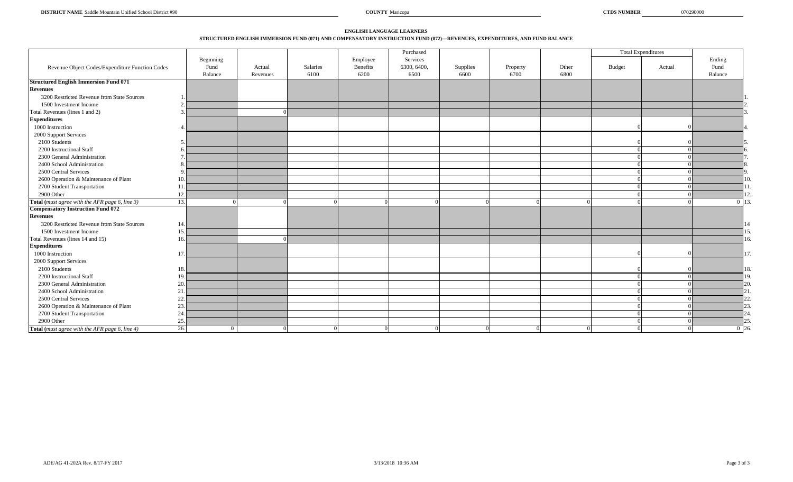### **STRUCTURED ENGLISH IMMERSION FUND (071) AND COMPENSATORY INSTRUCTION FUND (072)—REVENUES, EXPENDITURES, AND FUND BALANCE ENGLISH LANGUAGE LEARNERS**

|                                                 |           |          |          |                 | Purchased   |          |          |          |          | <b>Total Expenditures</b> |           |
|-------------------------------------------------|-----------|----------|----------|-----------------|-------------|----------|----------|----------|----------|---------------------------|-----------|
|                                                 | Beginning |          |          | Employee        | Services    |          |          |          |          |                           | Ending    |
| Revenue Object Codes/Expenditure Function Codes | Fund      | Actual   | Salaries | <b>Benefits</b> | 6300, 6400, | Supplies | Property | Other    | Budget   | Actual                    | Fund      |
|                                                 | Balance   | Revenues | 6100     | 6200            | 6500        | 6600     | 6700     | 6800     |          |                           | Balance   |
| <b>Structured English Immersion Fund 071</b>    |           |          |          |                 |             |          |          |          |          |                           |           |
| <b>Revenues</b>                                 |           |          |          |                 |             |          |          |          |          |                           |           |
| 3200 Restricted Revenue from State Sources      |           |          |          |                 |             |          |          |          |          |                           |           |
| 1500 Investment Income                          |           |          |          |                 |             |          |          |          |          |                           |           |
| Total Revenues (lines 1 and 2)                  |           |          |          |                 |             |          |          |          |          |                           |           |
| <b>Expenditures</b>                             |           |          |          |                 |             |          |          |          |          |                           |           |
| 1000 Instruction                                |           |          |          |                 |             |          |          |          |          |                           |           |
| 2000 Support Services                           |           |          |          |                 |             |          |          |          |          |                           |           |
| 2100 Students                                   |           |          |          |                 |             |          |          |          |          |                           |           |
| 2200 Instructional Staff                        | 6         |          |          |                 |             |          |          |          |          |                           |           |
| 2300 General Administration                     |           |          |          |                 |             |          |          |          |          |                           |           |
| 2400 School Administration                      |           |          |          |                 |             |          |          |          |          |                           |           |
| 2500 Central Services                           | -9        |          |          |                 |             |          |          |          |          |                           |           |
| 2600 Operation & Maintenance of Plant           | 10.       |          |          |                 |             |          |          |          |          |                           | 10.       |
| 2700 Student Transportation                     | 11        |          |          |                 |             |          |          |          |          |                           |           |
| 2900 Other                                      | 12        |          |          |                 |             |          |          |          |          |                           |           |
| Total (must agree with the AFR page 6, line 3)  | 13.       |          |          | $\Omega$        |             |          |          |          |          |                           | $0 \; 13$ |
| <b>Compensatory Instruction Fund 072</b>        |           |          |          |                 |             |          |          |          |          |                           |           |
| <b>Revenues</b>                                 |           |          |          |                 |             |          |          |          |          |                           |           |
| 3200 Restricted Revenue from State Sources      | 14        |          |          |                 |             |          |          |          |          |                           |           |
| 1500 Investment Income                          | 15        |          |          |                 |             |          |          |          |          |                           | 15        |
| Total Revenues (lines 14 and 15)                | 16        |          |          |                 |             |          |          |          |          |                           | 16.       |
| <b>Expenditures</b>                             |           |          |          |                 |             |          |          |          |          |                           |           |
| 1000 Instruction                                | 17        |          |          |                 |             |          |          |          |          |                           |           |
| 2000 Support Services                           |           |          |          |                 |             |          |          |          |          |                           |           |
| 2100 Students                                   | 18        |          |          |                 |             |          |          |          |          |                           | 18.       |
| 2200 Instructional Staff                        | 19.       |          |          |                 |             |          |          |          | $\Omega$ |                           | 19.       |
| 2300 General Administration                     | 20.       |          |          |                 |             |          |          |          | $\Omega$ |                           | 20.       |
| 2400 School Administration                      | 21        |          |          |                 |             |          |          |          | $\Omega$ |                           |           |
| 2500 Central Services                           | 22.       |          |          |                 |             |          |          |          | ∩        |                           | າາ        |
| 2600 Operation & Maintenance of Plant           | 23.       |          |          |                 |             |          |          |          | ∩        |                           | າາ        |
| 2700 Student Transportation                     | 24.       |          |          |                 |             |          |          |          |          |                           |           |
| 2900 Other                                      | 25.       |          |          |                 |             |          |          |          |          |                           |           |
| Total (must agree with the AFR page 6, line 4)  | 26.       | $\Omega$ |          | $\Omega$        |             | $\Omega$ |          | $\Omega$ |          |                           | $0 \; 26$ |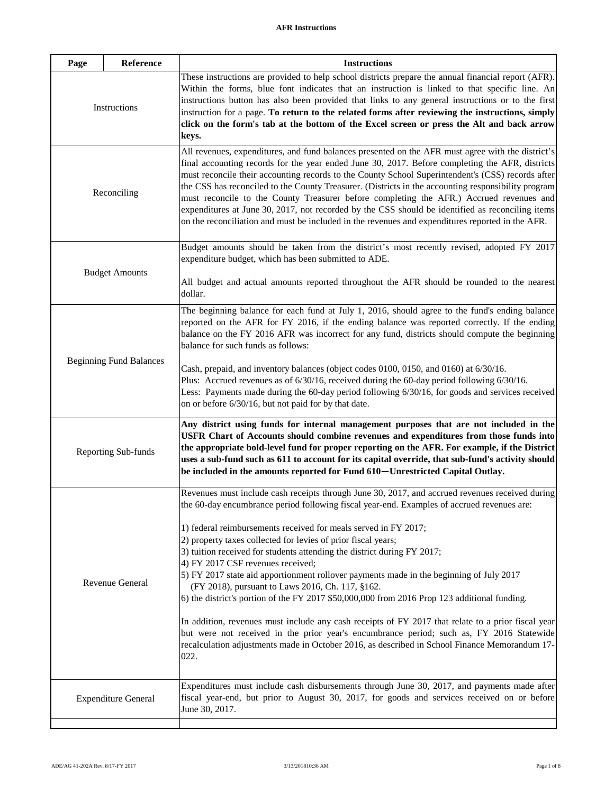<span id="page-15-0"></span>

| Page                           | Reference             | <b>Instructions</b>                                                                                                                                                                                                                                                                                                                                                                                                                                                                                                                                                                                                                                                                                                                                                                                                                                                                                                                                                                                         |
|--------------------------------|-----------------------|-------------------------------------------------------------------------------------------------------------------------------------------------------------------------------------------------------------------------------------------------------------------------------------------------------------------------------------------------------------------------------------------------------------------------------------------------------------------------------------------------------------------------------------------------------------------------------------------------------------------------------------------------------------------------------------------------------------------------------------------------------------------------------------------------------------------------------------------------------------------------------------------------------------------------------------------------------------------------------------------------------------|
| Instructions                   |                       | These instructions are provided to help school districts prepare the annual financial report (AFR).<br>Within the forms, blue font indicates that an instruction is linked to that specific line. An<br>instructions button has also been provided that links to any general instructions or to the first<br>instruction for a page. To return to the related forms after reviewing the instructions, simply<br>click on the form's tab at the bottom of the Excel screen or press the Alt and back arrow<br>keys.                                                                                                                                                                                                                                                                                                                                                                                                                                                                                          |
| Reconciling                    |                       | All revenues, expenditures, and fund balances presented on the AFR must agree with the district's<br>final accounting records for the year ended June 30, 2017. Before completing the AFR, districts<br>must reconcile their accounting records to the County School Superintendent's (CSS) records after<br>the CSS has reconciled to the County Treasurer. (Districts in the accounting responsibility program<br>must reconcile to the County Treasurer before completing the AFR.) Accrued revenues and<br>expenditures at June 30, 2017, not recorded by the CSS should be identified as reconciling items<br>on the reconciliation and must be included in the revenues and expenditures reported in the AFR.                                                                                                                                                                                                                                                                                         |
|                                | <b>Budget Amounts</b> | Budget amounts should be taken from the district's most recently revised, adopted FY 2017<br>expenditure budget, which has been submitted to ADE.                                                                                                                                                                                                                                                                                                                                                                                                                                                                                                                                                                                                                                                                                                                                                                                                                                                           |
|                                |                       | All budget and actual amounts reported throughout the AFR should be rounded to the nearest<br>dollar.                                                                                                                                                                                                                                                                                                                                                                                                                                                                                                                                                                                                                                                                                                                                                                                                                                                                                                       |
| <b>Beginning Fund Balances</b> |                       | The beginning balance for each fund at July 1, 2016, should agree to the fund's ending balance<br>reported on the AFR for FY 2016, if the ending balance was reported correctly. If the ending<br>balance on the FY 2016 AFR was incorrect for any fund, districts should compute the beginning<br>balance for such funds as follows:<br>Cash, prepaid, and inventory balances (object codes 0100, 0150, and 0160) at 6/30/16.<br>Plus: Accrued revenues as of $6/30/16$ , received during the 60-day period following $6/30/16$ .<br>Less: Payments made during the 60-day period following 6/30/16, for goods and services received                                                                                                                                                                                                                                                                                                                                                                       |
|                                |                       | on or before 6/30/16, but not paid for by that date.                                                                                                                                                                                                                                                                                                                                                                                                                                                                                                                                                                                                                                                                                                                                                                                                                                                                                                                                                        |
|                                | Reporting Sub-funds   | Any district using funds for internal management purposes that are not included in the<br>USFR Chart of Accounts should combine revenues and expenditures from those funds into<br>the appropriate bold-level fund for proper reporting on the AFR. For example, if the District<br>uses a sub-fund such as 611 to account for its capital override, that sub-fund's activity should<br>be included in the amounts reported for Fund 610-Unrestricted Capital Outlay.                                                                                                                                                                                                                                                                                                                                                                                                                                                                                                                                       |
| Revenue General                |                       | Revenues must include cash receipts through June 30, 2017, and accrued revenues received during<br>the 60-day encumbrance period following fiscal year-end. Examples of accrued revenues are:<br>1) federal reimbursements received for meals served in FY 2017;<br>2) property taxes collected for levies of prior fiscal years;<br>3) tuition received for students attending the district during FY 2017;<br>4) FY 2017 CSF revenues received;<br>5) FY 2017 state aid apportionment rollover payments made in the beginning of July 2017<br>(FY 2018), pursuant to Laws 2016, Ch. 117, §162.<br>6) the district's portion of the FY 2017 \$50,000,000 from 2016 Prop 123 additional funding.<br>In addition, revenues must include any cash receipts of FY 2017 that relate to a prior fiscal year<br>but were not received in the prior year's encumbrance period; such as, FY 2016 Statewide<br>recalculation adjustments made in October 2016, as described in School Finance Memorandum 17-<br>022. |
| <b>Expenditure General</b>     |                       | Expenditures must include cash disbursements through June 30, 2017, and payments made after<br>fiscal year-end, but prior to August 30, 2017, for goods and services received on or before<br>June 30, 2017.                                                                                                                                                                                                                                                                                                                                                                                                                                                                                                                                                                                                                                                                                                                                                                                                |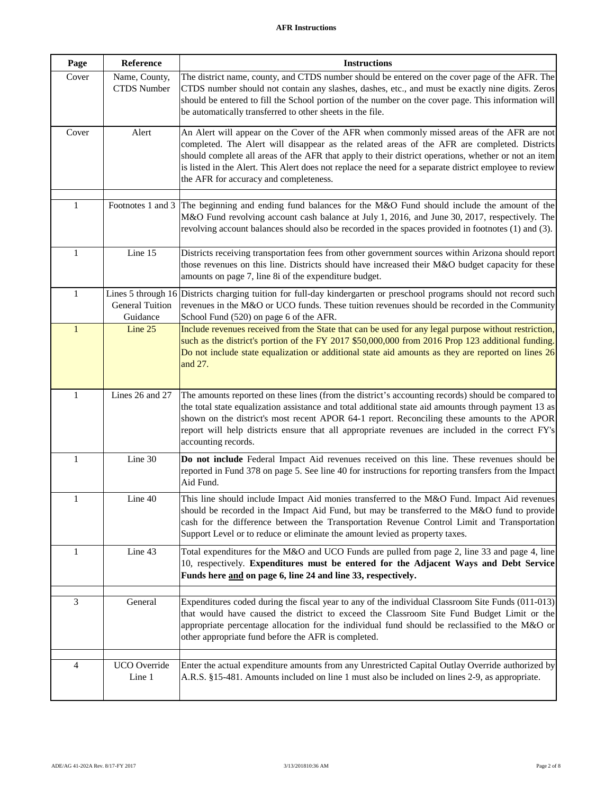# <span id="page-16-3"></span><span id="page-16-2"></span><span id="page-16-1"></span><span id="page-16-0"></span>**AFR Instructions**

<span id="page-16-8"></span><span id="page-16-7"></span><span id="page-16-6"></span><span id="page-16-5"></span><span id="page-16-4"></span>

| Page           | Reference                           | <b>Instructions</b>                                                                                                                                                                                                                                                                                                                                                                                                                                     |
|----------------|-------------------------------------|---------------------------------------------------------------------------------------------------------------------------------------------------------------------------------------------------------------------------------------------------------------------------------------------------------------------------------------------------------------------------------------------------------------------------------------------------------|
| Cover          | Name, County,<br><b>CTDS</b> Number | The district name, county, and CTDS number should be entered on the cover page of the AFR. The<br>CTDS number should not contain any slashes, dashes, etc., and must be exactly nine digits. Zeros<br>should be entered to fill the School portion of the number on the cover page. This information will<br>be automatically transferred to other sheets in the file.                                                                                  |
| Cover          | Alert                               | An Alert will appear on the Cover of the AFR when commonly missed areas of the AFR are not<br>completed. The Alert will disappear as the related areas of the AFR are completed. Districts<br>should complete all areas of the AFR that apply to their district operations, whether or not an item<br>is listed in the Alert. This Alert does not replace the need for a separate district employee to review<br>the AFR for accuracy and completeness. |
| 1              |                                     | Footnotes 1 and 3 The beginning and ending fund balances for the M&O Fund should include the amount of the<br>M&O Fund revolving account cash balance at July 1, 2016, and June 30, 2017, respectively. The<br>revolving account balances should also be recorded in the spaces provided in footnotes (1) and (3).                                                                                                                                      |
| 1              | Line 15                             | Districts receiving transportation fees from other government sources within Arizona should report<br>those revenues on this line. Districts should have increased their M&O budget capacity for these<br>amounts on page 7, line 8i of the expenditure budget.                                                                                                                                                                                         |
| $\mathbf{1}$   | <b>General Tuition</b><br>Guidance  | Lines 5 through 16 Districts charging tuition for full-day kindergarten or preschool programs should not record such<br>revenues in the M&O or UCO funds. These tuition revenues should be recorded in the Community<br>School Fund (520) on page 6 of the AFR.                                                                                                                                                                                         |
| $\mathbf{1}$   | Line 25                             | Include revenues received from the State that can be used for any legal purpose without restriction,<br>such as the district's portion of the FY 2017 \$50,000,000 from 2016 Prop 123 additional funding.<br>Do not include state equalization or additional state aid amounts as they are reported on lines 26<br>and 27.                                                                                                                              |
| $\mathbf{1}$   | Lines 26 and 27                     | The amounts reported on these lines (from the district's accounting records) should be compared to<br>the total state equalization assistance and total additional state aid amounts through payment 13 as<br>shown on the district's most recent APOR 64-1 report. Reconciling these amounts to the APOR<br>report will help districts ensure that all appropriate revenues are included in the correct FY's<br>accounting records.                    |
| $\mathbf{1}$   | Line 30                             | Do not include Federal Impact Aid revenues received on this line. These revenues should be<br>reported in Fund 378 on page 5. See line 40 for instructions for reporting transfers from the Impact<br>Aid Fund.                                                                                                                                                                                                                                         |
|                | Line 40                             | This line should include Impact Aid monies transferred to the M&O Fund. Impact Aid revenues<br>should be recorded in the Impact Aid Fund, but may be transferred to the M&O fund to provide<br>cash for the difference between the Transportation Revenue Control Limit and Transportation<br>Support Level or to reduce or eliminate the amount levied as property taxes.                                                                              |
| 1              | Line 43                             | Total expenditures for the M&O and UCO Funds are pulled from page 2, line 33 and page 4, line<br>10, respectively. Expenditures must be entered for the Adjacent Ways and Debt Service<br>Funds here and on page 6, line 24 and line 33, respectively.                                                                                                                                                                                                  |
| 3              | General                             | Expenditures coded during the fiscal year to any of the individual Classroom Site Funds (011-013)<br>that would have caused the district to exceed the Classroom Site Fund Budget Limit or the<br>appropriate percentage allocation for the individual fund should be reclassified to the M&O or<br>other appropriate fund before the AFR is completed.                                                                                                 |
| $\overline{4}$ | UCO Override<br>Line 1              | Enter the actual expenditure amounts from any Unrestricted Capital Outlay Override authorized by<br>A.R.S. §15-481. Amounts included on line 1 must also be included on lines 2-9, as appropriate.                                                                                                                                                                                                                                                      |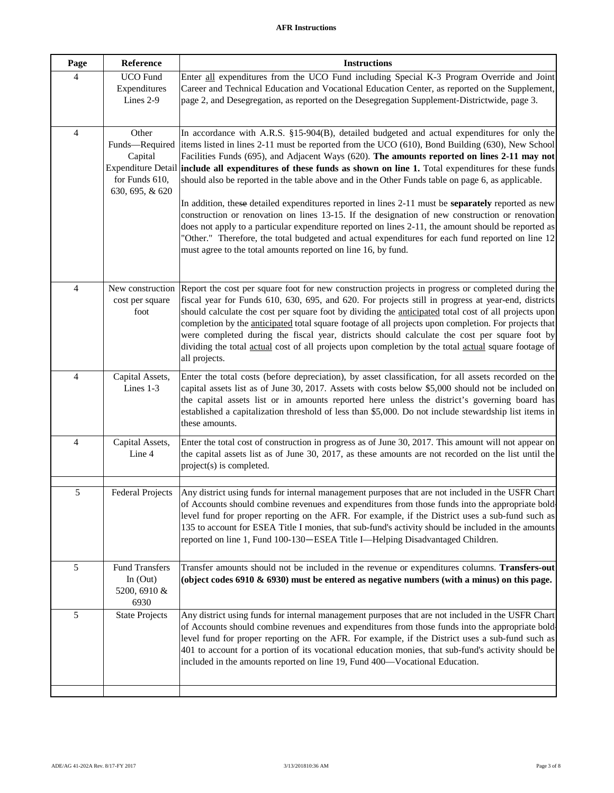<span id="page-17-7"></span><span id="page-17-6"></span><span id="page-17-5"></span><span id="page-17-4"></span><span id="page-17-3"></span><span id="page-17-2"></span><span id="page-17-1"></span><span id="page-17-0"></span>

| Page           | Reference                         | <b>Instructions</b>                                                                                                                                                                                   |
|----------------|-----------------------------------|-------------------------------------------------------------------------------------------------------------------------------------------------------------------------------------------------------|
| $\overline{4}$ | <b>UCO</b> Fund                   | Enter all expenditures from the UCO Fund including Special K-3 Program Override and Joint                                                                                                             |
|                | Expenditures<br>Lines 2-9         | Career and Technical Education and Vocational Education Center, as reported on the Supplement,<br>page 2, and Desegregation, as reported on the Desegregation Supplement-Districtwide, page 3.        |
|                |                                   |                                                                                                                                                                                                       |
|                |                                   |                                                                                                                                                                                                       |
| $\overline{4}$ | Other                             | In accordance with A.R.S. §15-904(B), detailed budgeted and actual expenditures for only the<br>items listed in lines 2-11 must be reported from the UCO (610), Bond Building (630), New School       |
|                | Funds-Required<br>Capital         | Facilities Funds (695), and Adjacent Ways (620). The amounts reported on lines 2-11 may not                                                                                                           |
|                |                                   | Expenditure Detail include all expenditures of these funds as shown on line 1. Total expenditures for these funds                                                                                     |
|                | for Funds 610,<br>630, 695, & 620 | should also be reported in the table above and in the Other Funds table on page 6, as applicable.                                                                                                     |
|                |                                   | In addition, these detailed expenditures reported in lines 2-11 must be separately reported as new                                                                                                    |
|                |                                   | construction or renovation on lines 13-15. If the designation of new construction or renovation                                                                                                       |
|                |                                   | does not apply to a particular expenditure reported on lines 2-11, the amount should be reported as                                                                                                   |
|                |                                   | "Other." Therefore, the total budgeted and actual expenditures for each fund reported on line 12                                                                                                      |
|                |                                   | must agree to the total amounts reported on line 16, by fund.                                                                                                                                         |
|                |                                   |                                                                                                                                                                                                       |
| $\overline{4}$ | New construction                  | Report the cost per square foot for new construction projects in progress or completed during the                                                                                                     |
|                | cost per square                   | fiscal year for Funds 610, 630, 695, and 620. For projects still in progress at year-end, districts                                                                                                   |
|                | foot                              | should calculate the cost per square foot by dividing the anticipated total cost of all projects upon                                                                                                 |
|                |                                   | completion by the anticipated total square footage of all projects upon completion. For projects that                                                                                                 |
|                |                                   | were completed during the fiscal year, districts should calculate the cost per square foot by<br>dividing the total actual cost of all projects upon completion by the total actual square footage of |
|                |                                   | all projects.                                                                                                                                                                                         |
| $\overline{4}$ | Capital Assets,                   | Enter the total costs (before depreciation), by asset classification, for all assets recorded on the                                                                                                  |
|                | Lines 1-3                         | capital assets list as of June 30, 2017. Assets with costs below \$5,000 should not be included on                                                                                                    |
|                |                                   | the capital assets list or in amounts reported here unless the district's governing board has                                                                                                         |
|                |                                   | established a capitalization threshold of less than \$5,000. Do not include stewardship list items in                                                                                                 |
|                |                                   | these amounts.                                                                                                                                                                                        |
| $\overline{4}$ | Capital Assets,                   | Enter the total cost of construction in progress as of June 30, 2017. This amount will not appear on                                                                                                  |
|                | Line 4                            | the capital assets list as of June 30, 2017, as these amounts are not recorded on the list until the                                                                                                  |
|                |                                   | project(s) is completed.                                                                                                                                                                              |
|                |                                   |                                                                                                                                                                                                       |
| 5              | <b>Federal Projects</b>           | Any district using funds for internal management purposes that are not included in the USFR Chart<br>of Accounts should combine revenues and expenditures from those funds into the appropriate bold  |
|                |                                   | level fund for proper reporting on the AFR. For example, if the District uses a sub-fund such as                                                                                                      |
|                |                                   | 135 to account for ESEA Title I monies, that sub-fund's activity should be included in the amounts                                                                                                    |
|                |                                   | reported on line 1, Fund 100-130-ESEA Title I-Helping Disadvantaged Children.                                                                                                                         |
|                |                                   |                                                                                                                                                                                                       |
| 5              | <b>Fund Transfers</b>             | Transfer amounts should not be included in the revenue or expenditures columns. Transfers-out                                                                                                         |
|                | In $(Out)$                        | (object codes $6910 \& 6930$ ) must be entered as negative numbers (with a minus) on this page.                                                                                                       |
|                | 5200, 6910 &                      |                                                                                                                                                                                                       |
| 5              | 6930<br><b>State Projects</b>     | Any district using funds for internal management purposes that are not included in the USFR Chart                                                                                                     |
|                |                                   | of Accounts should combine revenues and expenditures from those funds into the appropriate bold                                                                                                       |
|                |                                   | level fund for proper reporting on the AFR. For example, if the District uses a sub-fund such as                                                                                                      |
|                |                                   | 401 to account for a portion of its vocational education monies, that sub-fund's activity should be                                                                                                   |
|                |                                   | included in the amounts reported on line 19, Fund 400-Vocational Education.                                                                                                                           |
|                |                                   |                                                                                                                                                                                                       |
|                |                                   |                                                                                                                                                                                                       |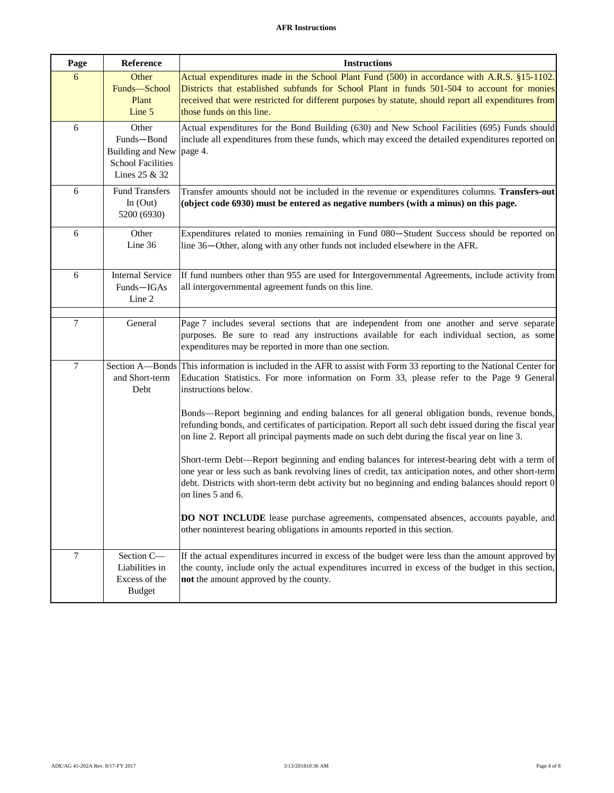# <span id="page-18-3"></span><span id="page-18-2"></span><span id="page-18-1"></span><span id="page-18-0"></span>**AFR Instructions**

<span id="page-18-5"></span><span id="page-18-4"></span>

| Page           | Reference                                                                                   | <b>Instructions</b>                                                                                                                                                                                                                                                                                                               |
|----------------|---------------------------------------------------------------------------------------------|-----------------------------------------------------------------------------------------------------------------------------------------------------------------------------------------------------------------------------------------------------------------------------------------------------------------------------------|
| 6              | Other<br>Funds-School<br>Plant<br>Line 5                                                    | Actual expenditures made in the School Plant Fund (500) in accordance with A.R.S. §15-1102.<br>Districts that established subfunds for School Plant in funds 501-504 to account for monies<br>received that were restricted for different purposes by statute, should report all expenditures from<br>those funds on this line.   |
| 6              | Other<br>Funds-Bond<br><b>Building and New</b><br><b>School Facilities</b><br>Lines 25 & 32 | Actual expenditures for the Bond Building (630) and New School Facilities (695) Funds should<br>include all expenditures from these funds, which may exceed the detailed expenditures reported on<br>page 4.                                                                                                                      |
| 6              | <b>Fund Transfers</b><br>In $(Out)$<br>5200 (6930)                                          | Transfer amounts should not be included in the revenue or expenditures columns. Transfers-out<br>(object code 6930) must be entered as negative numbers (with a minus) on this page.                                                                                                                                              |
| 6              | Other<br>Line 36                                                                            | Expenditures related to monies remaining in Fund 080-Student Success should be reported on<br>line 36-Other, along with any other funds not included elsewhere in the AFR.                                                                                                                                                        |
| 6              | <b>Internal Service</b><br>Funds-IGAs<br>Line 2                                             | If fund numbers other than 955 are used for Intergovernmental Agreements, include activity from<br>all intergovernmental agreement funds on this line.                                                                                                                                                                            |
| 7              | General                                                                                     | Page 7 includes several sections that are independent from one another and serve separate<br>purposes. Be sure to read any instructions available for each individual section, as some<br>expenditures may be reported in more than one section.                                                                                  |
| $\overline{7}$ | and Short-term<br>Debt                                                                      | Section A—Bonds This information is included in the AFR to assist with Form 33 reporting to the National Center for<br>Education Statistics. For more information on Form 33, please refer to the Page 9 General<br>instructions below.                                                                                           |
|                |                                                                                             | Bonds—Report beginning and ending balances for all general obligation bonds, revenue bonds,<br>refunding bonds, and certificates of participation. Report all such debt issued during the fiscal year<br>on line 2. Report all principal payments made on such debt during the fiscal year on line 3.                             |
|                |                                                                                             | Short-term Debt—Report beginning and ending balances for interest-bearing debt with a term of<br>one year or less such as bank revolving lines of credit, tax anticipation notes, and other short-term<br>debt. Districts with short-term debt activity but no beginning and ending balances should report 0<br>on lines 5 and 6. |
|                |                                                                                             | DO NOT INCLUDE lease purchase agreements, compensated absences, accounts payable, and<br>other noninterest bearing obligations in amounts reported in this section.                                                                                                                                                               |
| 7              | Section C-<br>Liabilities in<br>Excess of the<br><b>Budget</b>                              | If the actual expenditures incurred in excess of the budget were less than the amount approved by<br>the county, include only the actual expenditures incurred in excess of the budget in this section,<br>not the amount approved by the county.                                                                                 |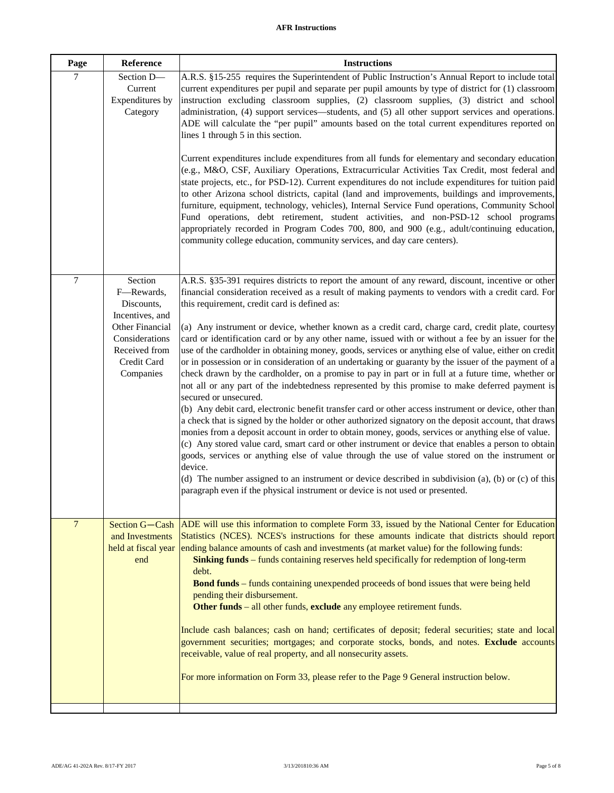# <span id="page-19-2"></span><span id="page-19-0"></span>**AFR Instructions**

<span id="page-19-1"></span>

| Page           | Reference                                                                                                                                | <b>Instructions</b>                                                                                                                                                                                                                                                                                                                                                                                                                                                                                                                                                                                                                                                                                                                                                                                                                                                                                                                                                                                                                                                                                                                                                                                                                                                                                                                                                                                                                                                                                                                                                                                                                                         |
|----------------|------------------------------------------------------------------------------------------------------------------------------------------|-------------------------------------------------------------------------------------------------------------------------------------------------------------------------------------------------------------------------------------------------------------------------------------------------------------------------------------------------------------------------------------------------------------------------------------------------------------------------------------------------------------------------------------------------------------------------------------------------------------------------------------------------------------------------------------------------------------------------------------------------------------------------------------------------------------------------------------------------------------------------------------------------------------------------------------------------------------------------------------------------------------------------------------------------------------------------------------------------------------------------------------------------------------------------------------------------------------------------------------------------------------------------------------------------------------------------------------------------------------------------------------------------------------------------------------------------------------------------------------------------------------------------------------------------------------------------------------------------------------------------------------------------------------|
| 7              | Section D-<br>Current<br>Expenditures by<br>Category                                                                                     | A.R.S. §15-255 requires the Superintendent of Public Instruction's Annual Report to include total<br>current expenditures per pupil and separate per pupil amounts by type of district for (1) classroom<br>instruction excluding classroom supplies, (2) classroom supplies, (3) district and school<br>administration, (4) support services—students, and (5) all other support services and operations.<br>ADE will calculate the "per pupil" amounts based on the total current expenditures reported on<br>lines 1 through 5 in this section.                                                                                                                                                                                                                                                                                                                                                                                                                                                                                                                                                                                                                                                                                                                                                                                                                                                                                                                                                                                                                                                                                                          |
|                |                                                                                                                                          | Current expenditures include expenditures from all funds for elementary and secondary education<br>(e.g., M&O, CSF, Auxiliary Operations, Extracurricular Activities Tax Credit, most federal and<br>state projects, etc., for PSD-12). Current expenditures do not include expenditures for tuition paid<br>to other Arizona school districts, capital (land and improvements, buildings and improvements,<br>furniture, equipment, technology, vehicles), Internal Service Fund operations, Community School<br>Fund operations, debt retirement, student activities, and non-PSD-12 school programs<br>appropriately recorded in Program Codes 700, 800, and 900 (e.g., adult/continuing education,<br>community college education, community services, and day care centers).                                                                                                                                                                                                                                                                                                                                                                                                                                                                                                                                                                                                                                                                                                                                                                                                                                                                           |
| $\overline{7}$ | Section<br>F-Rewards,<br>Discounts,<br>Incentives, and<br>Other Financial<br>Considerations<br>Received from<br>Credit Card<br>Companies | A.R.S. §35-391 requires districts to report the amount of any reward, discount, incentive or other<br>financial consideration received as a result of making payments to vendors with a credit card. For<br>this requirement, credit card is defined as:<br>(a) Any instrument or device, whether known as a credit card, charge card, credit plate, courtesy<br>card or identification card or by any other name, issued with or without a fee by an issuer for the<br>use of the cardholder in obtaining money, goods, services or anything else of value, either on credit<br>or in possession or in consideration of an undertaking or guaranty by the issuer of the payment of a<br>check drawn by the cardholder, on a promise to pay in part or in full at a future time, whether or<br>not all or any part of the indebtedness represented by this promise to make deferred payment is<br>secured or unsecured.<br>(b) Any debit card, electronic benefit transfer card or other access instrument or device, other than<br>a check that is signed by the holder or other authorized signatory on the deposit account, that draws<br>monies from a deposit account in order to obtain money, goods, services or anything else of value.<br>(c) Any stored value card, smart card or other instrument or device that enables a person to obtain<br>goods, services or anything else of value through the use of value stored on the instrument or<br>device.<br>(d) The number assigned to an instrument or device described in subdivision (a), (b) or (c) of this<br>paragraph even if the physical instrument or device is not used or presented. |
| $\overline{7}$ | Section G-Cash<br>and Investments<br>held at fiscal year<br>end                                                                          | ADE will use this information to complete Form 33, issued by the National Center for Education<br>Statistics (NCES). NCES's instructions for these amounts indicate that districts should report<br>ending balance amounts of cash and investments (at market value) for the following funds:<br>Sinking funds – funds containing reserves held specifically for redemption of long-term<br>debt.<br><b>Bond funds</b> – funds containing unexpended proceeds of bond issues that were being held<br>pending their disbursement.<br>Other funds – all other funds, exclude any employee retirement funds.<br>Include cash balances; cash on hand; certificates of deposit; federal securities; state and local<br>government securities; mortgages; and corporate stocks, bonds, and notes. Exclude accounts<br>receivable, value of real property, and all nonsecurity assets.<br>For more information on Form 33, please refer to the Page 9 General instruction below.                                                                                                                                                                                                                                                                                                                                                                                                                                                                                                                                                                                                                                                                                   |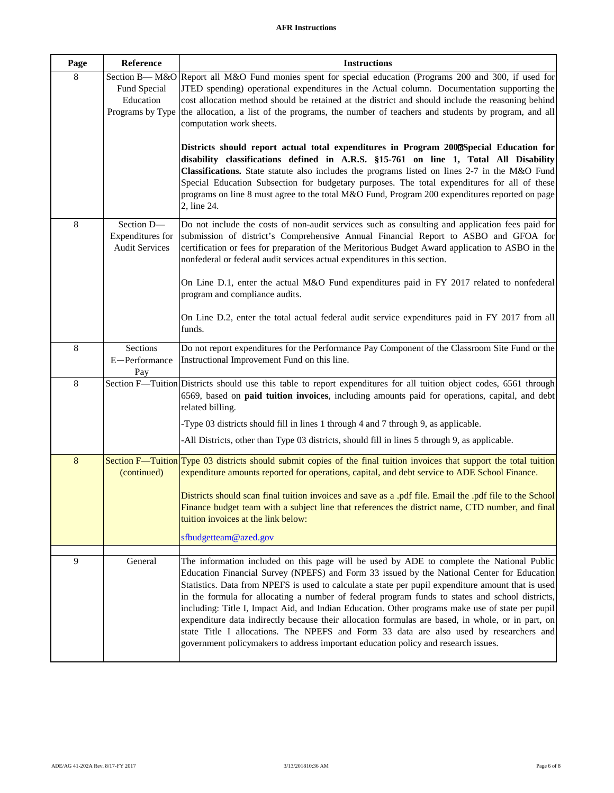<span id="page-20-3"></span><span id="page-20-2"></span><span id="page-20-1"></span><span id="page-20-0"></span>

| Page           | Reference                                               | <b>Instructions</b>                                                                                                                                                                                                                                                                                                                                                                                                                                                                                                                                                                                                                                                                                                                                                                       |
|----------------|---------------------------------------------------------|-------------------------------------------------------------------------------------------------------------------------------------------------------------------------------------------------------------------------------------------------------------------------------------------------------------------------------------------------------------------------------------------------------------------------------------------------------------------------------------------------------------------------------------------------------------------------------------------------------------------------------------------------------------------------------------------------------------------------------------------------------------------------------------------|
| 8              | Fund Special<br>Education<br>Programs by Type           | Section B— M&O Report all M&O Fund monies spent for special education (Programs 200 and 300, if used for<br>JTED spending) operational expenditures in the Actual column. Documentation supporting the<br>cost allocation method should be retained at the district and should include the reasoning behind<br>the allocation, a list of the programs, the number of teachers and students by program, and all<br>computation work sheets.                                                                                                                                                                                                                                                                                                                                                |
|                |                                                         | Districts should report actual total expenditures in Program 2000Special Education for<br>disability classifications defined in A.R.S. §15-761 on line 1, Total All Disability<br>Classifications. State statute also includes the programs listed on lines 2-7 in the M&O Fund<br>Special Education Subsection for budgetary purposes. The total expenditures for all of these<br>programs on line 8 must agree to the total M&O Fund, Program 200 expenditures reported on page<br>2, line 24.                                                                                                                                                                                                                                                                                          |
| $\,8\,$        | Section D-<br>Expenditures for<br><b>Audit Services</b> | Do not include the costs of non-audit services such as consulting and application fees paid for<br>submission of district's Comprehensive Annual Financial Report to ASBO and GFOA for<br>certification or fees for preparation of the Meritorious Budget Award application to ASBO in the<br>nonfederal or federal audit services actual expenditures in this section.                                                                                                                                                                                                                                                                                                                                                                                                                   |
|                |                                                         | On Line D.1, enter the actual M&O Fund expenditures paid in FY 2017 related to nonfederal<br>program and compliance audits.                                                                                                                                                                                                                                                                                                                                                                                                                                                                                                                                                                                                                                                               |
|                |                                                         | On Line D.2, enter the total actual federal audit service expenditures paid in FY 2017 from all<br>funds.                                                                                                                                                                                                                                                                                                                                                                                                                                                                                                                                                                                                                                                                                 |
| $\,8\,$        | Sections<br>E-Performance<br>Pay                        | Do not report expenditures for the Performance Pay Component of the Classroom Site Fund or the<br>Instructional Improvement Fund on this line.                                                                                                                                                                                                                                                                                                                                                                                                                                                                                                                                                                                                                                            |
| 8              |                                                         | Section F-Tuition Districts should use this table to report expenditures for all tuition object codes, 6561 through<br>6569, based on paid tuition invoices, including amounts paid for operations, capital, and debt<br>related billing.                                                                                                                                                                                                                                                                                                                                                                                                                                                                                                                                                 |
|                |                                                         | -Type 03 districts should fill in lines 1 through 4 and 7 through 9, as applicable.                                                                                                                                                                                                                                                                                                                                                                                                                                                                                                                                                                                                                                                                                                       |
|                |                                                         | -All Districts, other than Type 03 districts, should fill in lines 5 through 9, as applicable.                                                                                                                                                                                                                                                                                                                                                                                                                                                                                                                                                                                                                                                                                            |
| $8\phantom{1}$ | (continued)                                             | Section F—Tuition Type 03 districts should submit copies of the final tuition invoices that support the total tuition<br>expenditure amounts reported for operations, capital, and debt service to ADE School Finance.                                                                                                                                                                                                                                                                                                                                                                                                                                                                                                                                                                    |
|                |                                                         | Districts should scan final tuition invoices and save as a .pdf file. Email the .pdf file to the School<br>Finance budget team with a subject line that references the district name, CTD number, and final<br>tuition invoices at the link below:                                                                                                                                                                                                                                                                                                                                                                                                                                                                                                                                        |
|                |                                                         | sfbudgetteam@azed.gov                                                                                                                                                                                                                                                                                                                                                                                                                                                                                                                                                                                                                                                                                                                                                                     |
| 9              | General                                                 | The information included on this page will be used by ADE to complete the National Public<br>Education Financial Survey (NPEFS) and Form 33 issued by the National Center for Education<br>Statistics. Data from NPEFS is used to calculate a state per pupil expenditure amount that is used<br>in the formula for allocating a number of federal program funds to states and school districts,<br>including: Title I, Impact Aid, and Indian Education. Other programs make use of state per pupil<br>expenditure data indirectly because their allocation formulas are based, in whole, or in part, on<br>state Title I allocations. The NPEFS and Form 33 data are also used by researchers and<br>government policymakers to address important education policy and research issues. |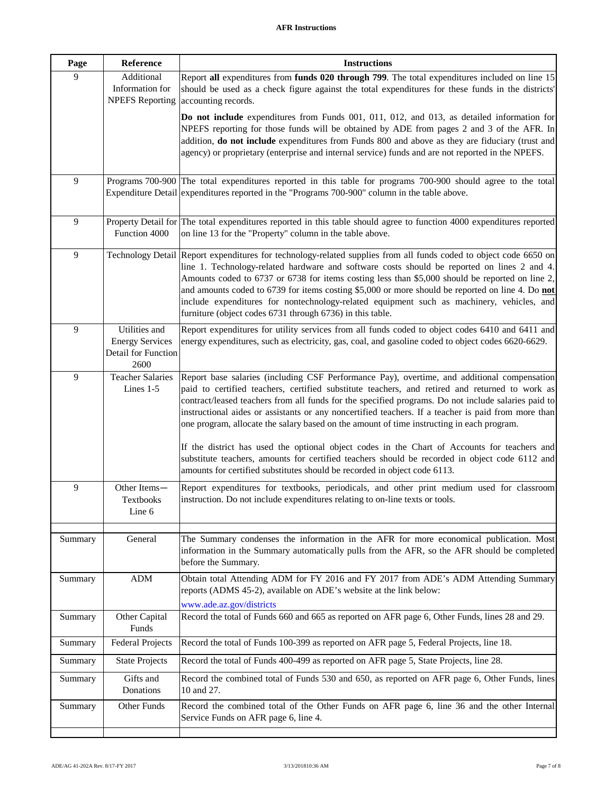<span id="page-21-12"></span><span id="page-21-11"></span><span id="page-21-10"></span><span id="page-21-9"></span><span id="page-21-8"></span><span id="page-21-7"></span><span id="page-21-6"></span><span id="page-21-5"></span><span id="page-21-4"></span><span id="page-21-3"></span><span id="page-21-2"></span><span id="page-21-1"></span><span id="page-21-0"></span>

| Page           | Reference                                                              | <b>Instructions</b>                                                                                                                                                                                                                                                                                                                                                                                                                                                                                                                                                                                      |
|----------------|------------------------------------------------------------------------|----------------------------------------------------------------------------------------------------------------------------------------------------------------------------------------------------------------------------------------------------------------------------------------------------------------------------------------------------------------------------------------------------------------------------------------------------------------------------------------------------------------------------------------------------------------------------------------------------------|
| 9              | Additional<br>Information for<br><b>NPEFS</b> Reporting                | Report all expenditures from funds 020 through 799. The total expenditures included on line 15<br>should be used as a check figure against the total expenditures for these funds in the districts'<br>accounting records.                                                                                                                                                                                                                                                                                                                                                                               |
|                |                                                                        | Do not include expenditures from Funds 001, 011, 012, and 013, as detailed information for<br>NPEFS reporting for those funds will be obtained by ADE from pages 2 and 3 of the AFR. In<br>addition, do not include expenditures from Funds 800 and above as they are fiduciary (trust and<br>agency) or proprietary (enterprise and internal service) funds and are not reported in the NPEFS.                                                                                                                                                                                                          |
| $\overline{9}$ |                                                                        | Programs 700-900 The total expenditures reported in this table for programs 700-900 should agree to the total<br>Expenditure Detail expenditures reported in the "Programs 700-900" column in the table above.                                                                                                                                                                                                                                                                                                                                                                                           |
| 9              | Function 4000                                                          | Property Detail for The total expenditures reported in this table should agree to function 4000 expenditures reported<br>on line 13 for the "Property" column in the table above.                                                                                                                                                                                                                                                                                                                                                                                                                        |
| $\overline{9}$ |                                                                        | Technology Detail Report expenditures for technology-related supplies from all funds coded to object code 6650 on<br>line 1. Technology-related hardware and software costs should be reported on lines 2 and 4.<br>Amounts coded to 6737 or 6738 for items costing less than \$5,000 should be reported on line 2,<br>and amounts coded to 6739 for items costing \$5,000 or more should be reported on line 4. Do not<br>include expenditures for nontechnology-related equipment such as machinery, vehicles, and<br>furniture (object codes 6731 through 6736) in this table.                        |
| $\overline{9}$ | Utilities and<br><b>Energy Services</b><br>Detail for Function<br>2600 | Report expenditures for utility services from all funds coded to object codes 6410 and 6411 and<br>energy expenditures, such as electricity, gas, coal, and gasoline coded to object codes 6620-6629.                                                                                                                                                                                                                                                                                                                                                                                                    |
| 9              | <b>Teacher Salaries</b><br>Lines 1-5                                   | Report base salaries (including CSF Performance Pay), overtime, and additional compensation<br>paid to certified teachers, certified substitute teachers, and retired and returned to work as<br>contract/leased teachers from all funds for the specified programs. Do not include salaries paid to<br>instructional aides or assistants or any noncertified teachers. If a teacher is paid from more than<br>one program, allocate the salary based on the amount of time instructing in each program.<br>If the district has used the optional object codes in the Chart of Accounts for teachers and |
|                |                                                                        | substitute teachers, amounts for certified teachers should be recorded in object code 6112 and<br>amounts for certified substitutes should be recorded in object code 6113.                                                                                                                                                                                                                                                                                                                                                                                                                              |
| $\overline{9}$ | Other Items-<br>Textbooks<br>Line 6                                    | Report expenditures for textbooks, periodicals, and other print medium used for classroom<br>instruction. Do not include expenditures relating to on-line texts or tools.                                                                                                                                                                                                                                                                                                                                                                                                                                |
| Summary        | General                                                                | The Summary condenses the information in the AFR for more economical publication. Most<br>information in the Summary automatically pulls from the AFR, so the AFR should be completed<br>before the Summary.                                                                                                                                                                                                                                                                                                                                                                                             |
| Summary        | <b>ADM</b>                                                             | Obtain total Attending ADM for FY 2016 and FY 2017 from ADE's ADM Attending Summary<br>reports (ADMS 45-2), available on ADE's website at the link below:                                                                                                                                                                                                                                                                                                                                                                                                                                                |
| Summary        | Other Capital<br>Funds                                                 | www.ade.az.gov/districts<br>Record the total of Funds 660 and 665 as reported on AFR page 6, Other Funds, lines 28 and 29.                                                                                                                                                                                                                                                                                                                                                                                                                                                                               |
| Summary        | <b>Federal Projects</b>                                                | Record the total of Funds 100-399 as reported on AFR page 5, Federal Projects, line 18.                                                                                                                                                                                                                                                                                                                                                                                                                                                                                                                  |
| Summary        | <b>State Projects</b>                                                  | Record the total of Funds 400-499 as reported on AFR page 5, State Projects, line 28.                                                                                                                                                                                                                                                                                                                                                                                                                                                                                                                    |
| Summary        | Gifts and<br>Donations                                                 | Record the combined total of Funds 530 and 650, as reported on AFR page 6, Other Funds, lines<br>10 and 27.                                                                                                                                                                                                                                                                                                                                                                                                                                                                                              |
| Summary        | Other Funds                                                            | Record the combined total of the Other Funds on AFR page 6, line 36 and the other Internal<br>Service Funds on AFR page 6, line 4.                                                                                                                                                                                                                                                                                                                                                                                                                                                                       |
|                |                                                                        |                                                                                                                                                                                                                                                                                                                                                                                                                                                                                                                                                                                                          |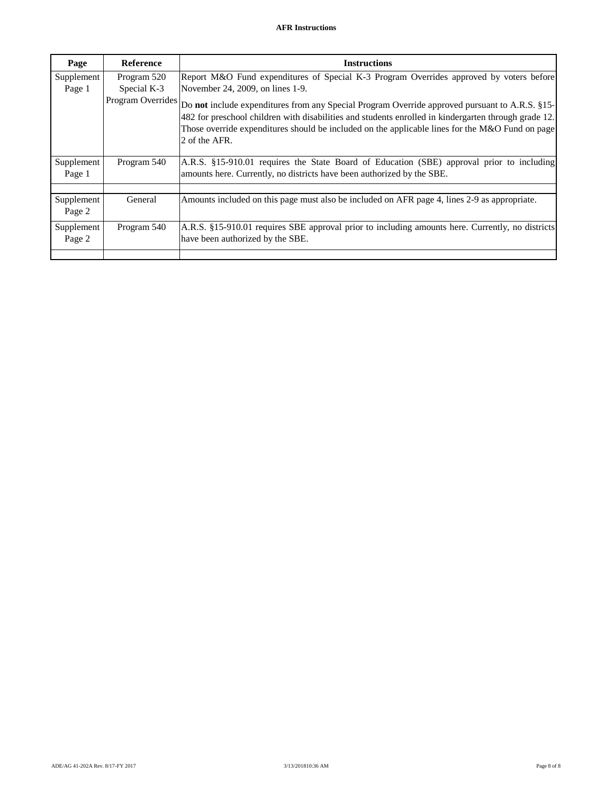<span id="page-22-2"></span><span id="page-22-1"></span><span id="page-22-0"></span>

| Page                 | <b>Reference</b> | <b>Instructions</b>                                                                                                                                                                                                                                                                                                                          |
|----------------------|------------------|----------------------------------------------------------------------------------------------------------------------------------------------------------------------------------------------------------------------------------------------------------------------------------------------------------------------------------------------|
| Supplement           | Program 520      | Report M&O Fund expenditures of Special K-3 Program Overrides approved by voters before                                                                                                                                                                                                                                                      |
| Page 1               | Special K-3      | November 24, 2009, on lines 1-9.                                                                                                                                                                                                                                                                                                             |
|                      |                  | Program Overrides Do not include expenditures from any Special Program Override approved pursuant to A.R.S. §15-<br>482 for preschool children with disabilities and students enrolled in kindergarten through grade 12.<br>Those override expenditures should be included on the applicable lines for the M&O Fund on page<br>2 of the AFR. |
| Supplement<br>Page 1 | Program 540      | A.R.S. §15-910.01 requires the State Board of Education (SBE) approval prior to including<br>amounts here. Currently, no districts have been authorized by the SBE.                                                                                                                                                                          |
| Supplement           | General          | Amounts included on this page must also be included on AFR page 4, lines 2-9 as appropriate.                                                                                                                                                                                                                                                 |
| Page 2               |                  |                                                                                                                                                                                                                                                                                                                                              |
| Supplement<br>Page 2 | Program 540      | A.R.S. §15-910.01 requires SBE approval prior to including amounts here. Currently, no districts<br>have been authorized by the SBE.                                                                                                                                                                                                         |
|                      |                  |                                                                                                                                                                                                                                                                                                                                              |